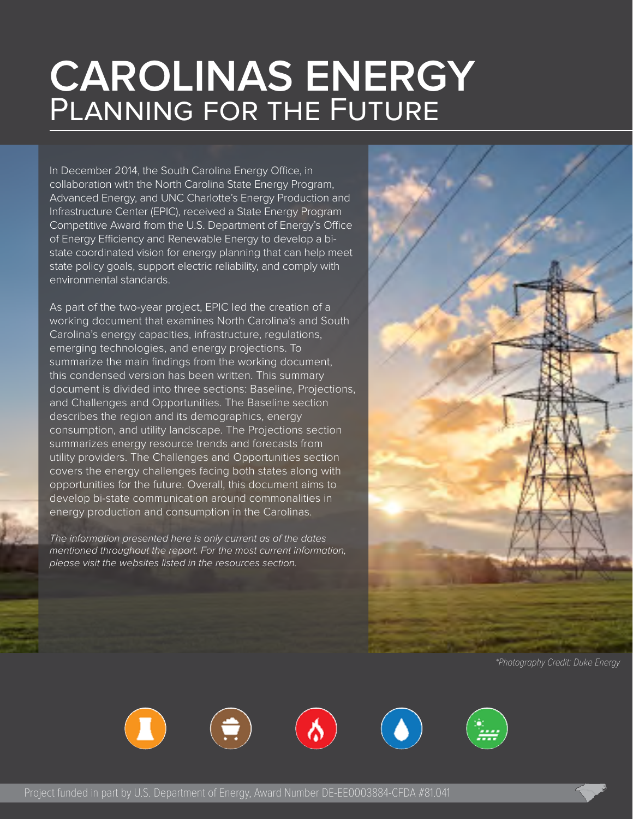## **CAROLINAS ENERGY**  PLANNING FOR THE FUTURE

In December 2014, the South Carolina Energy Office, in collaboration with the North Carolina State Energy Program, Advanced Energy, and UNC Charlotte's Energy Production and Infrastructure Center (EPIC), received a State Energy Program Competitive Award from the U.S. Department of Energy's Office of Energy Efficiency and Renewable Energy to develop a bistate coordinated vision for energy planning that can help meet state policy goals, support electric reliability, and comply with environmental standards.

As part of the two-year project, EPIC led the creation of a working document that examines North Carolina's and South Carolina's energy capacities, infrastructure, regulations, emerging technologies, and energy projections. To summarize the main findings from the working document, this condensed version has been written. This summary document is divided into three sections: Baseline, Projections, and Challenges and Opportunities. The Baseline section describes the region and its demographics, energy consumption, and utility landscape. The Projections section summarizes energy resource trends and forecasts from utility providers. The Challenges and Opportunities section covers the energy challenges facing both states along with opportunities for the future. Overall, this document aims to develop bi-state communication around commonalities in energy production and consumption in the Carolinas.

The information presented here is only current as of the dates mentioned throughout the report. For the most current information, please visit the websites listed in the resources section.



\*Photography Credit: Duke Energy

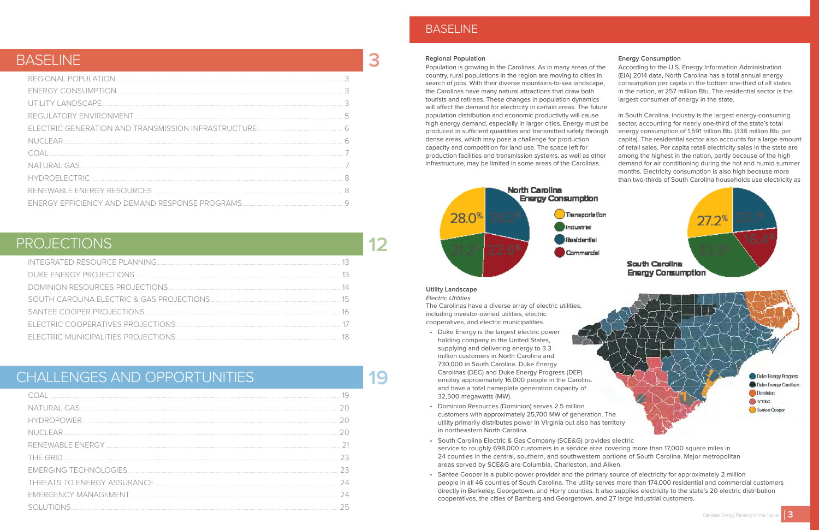#### **Regional Population**

#### **Energy Consumption**





 $27.2^*$ 

Population is growing in the Carolinas. As in many areas of the country, rural populations in the region are moving to cities in search of jobs. With their diverse mountains-to-sea landscape, the Carolinas have many natural attractions that draw both tourists and retirees. These changes in population dynamics will affect the demand for electricity in certain areas. The future population distribution and economic productivity will cause high energy demand, especially in larger cities. Energy must be produced in sufficient quantities and transmitted safely through dense areas, which may pose a challenge for production capacity and competition for land use. The space left for production facilities and transmission systems, as well as other infrastructure, may be limited in some areas of the Carolinas. According to the U.S. Energy Information Administration (EIA) 2014 data, North Carolina has a total annual energy consumption per capita in the bottom one-third of all states in the nation, at 257 million Btu. The residential sector is the largest consumer of energy in the state. In South Carolina, industry is the largest energy-consuming sector, accounting for nearly one-third of the state's total energy consumption of 1,591 trillion Btu (338 million Btu per capita). The residential sector also accounts for a large amount of retail sales. Per capita retail electricity sales in the state are among the highest in the nation, partly because of the high demand for air conditioning during the hot and humid summer months. Electricity consumption is also high because more than two-thirds of South Carolina households use electricity as



**Utility Landscape** Electric Utilities

The Carolinas have a diverse array of electric utilities, including investor-owned utilities, electric cooperatives, and electric municipalities.

- Duke Energy is the largest electric power holding company in the United States, supplying and delivering energy to 3.3 million customers in North Carolina and 730,000 in South Carolina. Duke Energy Carolinas (DEC) and Duke Energy Progress (DEP) employ approximately 16,000 people in the Carolina. and have a total nameplate generation capacity of 32,500 megawatts (MW).
- Dominion Resources (Dominion) serves 2.5 million customers with approximately 25,700 MW of generation. The utility primarily distributes power in Virginia but also has territory in northeastern North Carolina.
- South Carolina Electric & Gas Company (SCE&G) provides electric service to roughly 698,000 customers in a service area covering more than 17,000 square miles in 24 counties in the central, southern, and southwestern portions of South Carolina. Major metropolitan areas served by SCE&G are Columbia, Charleston, and Aiken.
- Santee Cooper is a public-power provider and the primary source of electricity for approximately 2 million cooperatives, the cities of Bamberg and Georgetown, and 27 large industrial customers.

people in all 46 counties of South Carolina. The utility serves more than 174,000 residential and commercial customers directly in Berkeley, Georgetown, and Horry counties. It also supplies electricity to the state's 20 electric distribution

| NUCLEAR |  |
|---------|--|
|         |  |
|         |  |
|         |  |
|         |  |
|         |  |

| HYDROPOWER                   |  |
|------------------------------|--|
| NI ICI FAR                   |  |
|                              |  |
| THE GRID                     |  |
|                              |  |
| THREATS TO ENERGY ASSURANCE. |  |
|                              |  |
|                              |  |

**3**

**12**

**19**

## BASELINE

## PROJECTIONS

## CHALLENGES AND OPPORTUNITIES

## BASELINE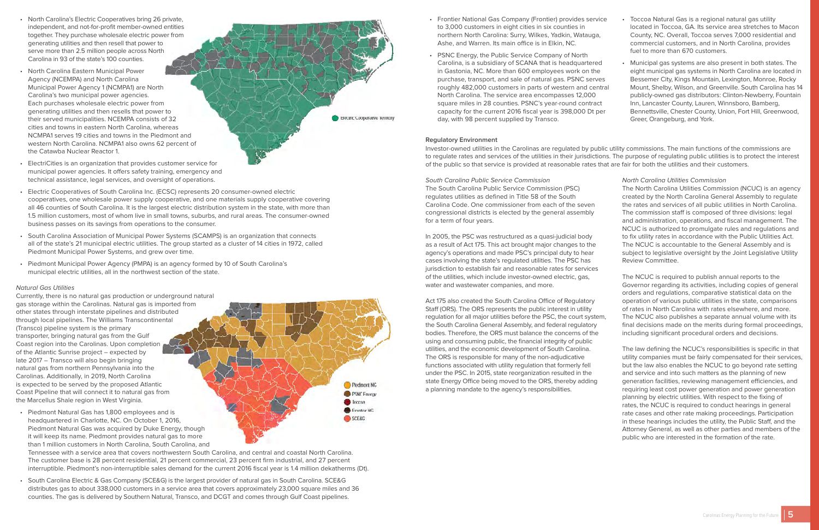- <span id="page-2-0"></span>• North Carolina's Electric Cooperatives bring 26 private, independent, and not-for-profit member-owned entities together. They purchase wholesale electric power from generating utilities and then resell that power to serve more than 2.5 million people across North Carolina in 93 of the state's 100 counties.
- North Carolina Eastern Municipal Power Agency (NCEMPA) and North Carolina Municipal Power Agency 1 (NCMPA1) are North Carolina's two municipal power agencies. Each purchases wholesale electric power from generating utilities and then resells that power to their served municipalities. NCEMPA consists of 32 cities and towns in eastern North Carolina, whereas NCMPA1 serves 19 cities and towns in the Piedmont and western North Carolina. NCMPA1 also owns 62 percent of the Catawba Nuclear Reactor 1.



Pledmont NG **PSNC** Energy **boxoa** Frontier NG SCE&G

- ElectriCities is an organization that provides customer service for municipal power agencies. It offers safety training, emergency and technical assistance, legal services, and oversight of operations.
- Electric Cooperatives of South Carolina Inc. (ECSC) represents 20 consumer-owned electric cooperatives, one wholesale power supply cooperative, and one materials supply cooperative covering all 46 counties of South Carolina. It is the largest electric distribution system in the state, with more than 1.5 million customers, most of whom live in small towns, suburbs, and rural areas. The consumer-owned business passes on its savings from operations to the consumer.
- South Carolina Association of Municipal Power Systems (SCAMPS) is an organization that connects all of the state's 21 municipal electric utilities. The group started as a cluster of 14 cities in 1972, called Piedmont Municipal Power Systems, and grew over time.
- Piedmont Municipal Power Agency (PMPA) is an agency formed by 10 of South Carolina's municipal electric utilities, all in the northwest section of the state.

#### Natural Gas Utilities

Currently, there is no natural gas production or underground natural gas storage within the Carolinas. Natural gas is imported from other states through interstate pipelines and distributed through local pipelines. The Williams Transcontinental (Transco) pipeline system is the primary transporter, bringing natural gas from the Gulf Coast region into the Carolinas. Upon completion of the Atlantic Sunrise project – expected by late 2017 – Transco will also begin bringing natural gas from northern Pennsylvania into the Carolinas. Additionally, in 2019, North Carolina is expected to be served by the proposed Atlantic Coast Pipeline that will connect it to natural gas from the Marcellus Shale region in West Virginia.

• Piedmont Natural Gas has 1,800 employees and is headquartered in Charlotte, NC. On October 1, 2016, Piedmont Natural Gas was acquired by Duke Energy, though it will keep its name. Piedmont provides natural gas to more than 1 million customers in North Carolina, South Carolina, and

Tennessee with a service area that covers northwestern South Carolina, and central and coastal North Carolina. The customer base is 28 percent residential, 21 percent commercial, 23 percent firm industrial, and 27 percent interruptible. Piedmont's non-interruptible sales demand for the current 2016 fiscal year is 1.4 million dekatherms (Dt).

• South Carolina Electric & Gas Company (SCE&G) is the largest provider of natural gas in South Carolina. SCE&G distributes gas to about 338,000 customers in a service area that covers approximately 23,000 square miles and 36 counties. The gas is delivered by Southern Natural, Transco, and DCGT and comes through Gulf Coast pipelines.

- Frontier National Gas Company (Frontier) provides service to 3,000 customers in eight cities in six counties in northern North Carolina: Surry, Wilkes, Yadkin, Watauga, Ashe, and Warren. Its main office is in Elkin, NC. • PSNC Energy, the Public Service Company of North Carolina, is a subsidiary of SCANA that is headquartered in Gastonia, NC. More than 600 employees work on the purchase, transport, and sale of natural gas. PSNC serves roughly 482,000 customers in parts of western and central North Carolina. The service area encompasses 12,000 square miles in 28 counties. PSNC's year-round contract capacity for the current 2016 fiscal year is 398,000 Dt per • Toccoa Natural Gas is a regional natural gas utility located in Toccoa, GA. Its service area stretches to Macon County, NC. Overall, Toccoa serves 7,000 residential and commercial customers, and in North Carolina, provides fuel to more than 670 customers. • Municipal gas systems are also present in both states. The eight municipal gas systems in North Carolina are located in Bessemer City, Kings Mountain, Lexington, Monroe, Rocky Mount, Shelby, Wilson, and Greenville. South Carolina has 14 publicly-owned gas distributors: Clinton-Newberry, Fountain Inn, Lancaster County, Lauren, Winnsboro, Bamberg, Bennettsville, Chester County, Union, Fort Hill, Greenwood,
- day, with 98 percent supplied by Transco. Greer, Orangeburg, and York.

#### **Regulatory Environment**

Investor-owned utilities in the Carolinas are regulated by public utility commissions. The main functions of the commissions are to regulate rates and services of the utilities in their jurisdictions. The purpose of regulating public utilities is to protect the interest of the public so that service is provided at reasonable rates that are fair for both the utilities and their customers.

South Carolina Public Service Commission The South Carolina Public Service Commission (PSC) regulates utilities as defined in Title 58 of the South Carolina Code. One commissioner from each of the seven congressional districts is elected by the general assembly for a term of four years.

In 2005, the PSC was restructured as a quasi-judicial body as a result of Act 175. This act brought major changes to the agency's operations and made PSC's principal duty to hear cases involving the state's regulated utilities. The PSC has jurisdiction to establish fair and reasonable rates for services of the utilities, which include investor-owned electric, gas, water and wastewater companies, and more.

Act 175 also created the South Carolina Office of Regulatory Staff (ORS). The ORS represents the public interest in utility regulation for all major utilities before the PSC, the court system, the South Carolina General Assembly, and federal regulatory bodies. Therefore, the ORS must balance the concerns of the using and consuming public, the financial integrity of public utilities, and the economic development of South Carolina. The ORS is responsible for many of the non-adjudicative functions associated with utility regulation that formerly fell under the PSC. In 2015, state reorganization resulted in the state Energy Office being moved to the ORS, thereby adding a planning mandate to the agency's responsibilities.

#### North Carolina Utilities Commission

The North Carolina Utilities Commission (NCUC) is an agency created by the North Carolina General Assembly to regulate the rates and services of all public utilities in North Carolina. The commission staff is composed of three divisions: legal and administration, operations, and fiscal management. The NCUC is authorized to promulgate rules and regulations and to fix utility rates in accordance with the Public Utilities Act. The NCUC is accountable to the General Assembly and is subject to legislative oversight by the Joint Legislative Utility Review Committee.

The NCUC is required to publish annual reports to the Governor regarding its activities, including copies of general orders and regulations, comparative statistical data on the operation of various public utilities in the state, comparisons of rates in North Carolina with rates elsewhere, and more. The NCUC also publishes a separate annual volume with its final decisions made on the merits during formal proceedings, including significant procedural orders and decisions.

The law defining the NCUC's responsibilities is specific in that utility companies must be fairly compensated for their services, but the law also enables the NCUC to go beyond rate setting and service and into such matters as the planning of new generation facilities, reviewing management efficiencies, and requiring least cost power generation and power generation planning by electric utilities. With respect to the fixing of rates, the NCUC is required to conduct hearings in general rate cases and other rate making proceedings. Participation in these hearings includes the utility, the Public Staff, and the Attorney General, as well as other parties and members of the public who are interested in the formation of the rate.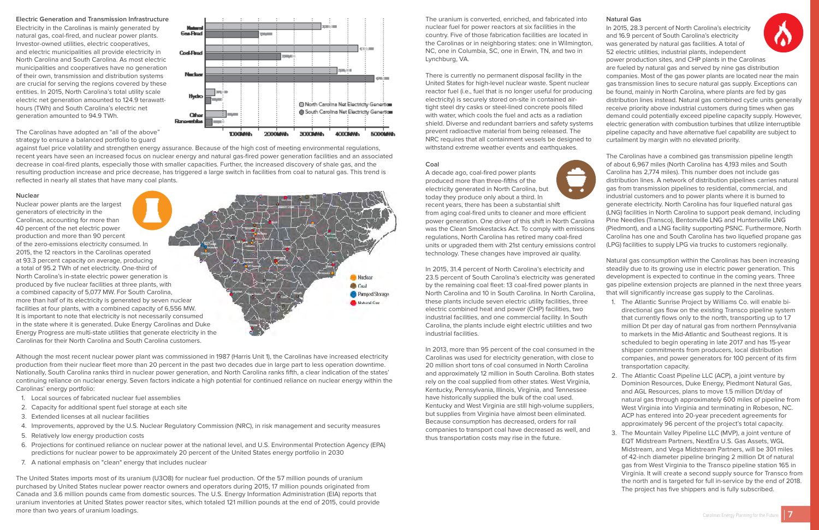#### <span id="page-3-0"></span>**Electric Generation and Transmission Infrastructure**

Electricity in the Carolinas is mainly generated by natural gas, coal-fired, and nuclear power plants. Investor-owned utilities, electric cooperatives, and electric municipalities all provide electricity in North Carolina and South Carolina. As most electric municipalities and cooperatives have no generation of their own, transmission and distribution systems are crucial for serving the regions covered by these entities. In 2015, North Carolina's total utility scale electric net generation amounted to 124.9 terawatthours (TWh) and South Carolina's electric net generation amounted to 94.9 TWh.



The Carolinas have adopted an "all of the above" strategy to ensure a balanced portfolio to guard

against fuel price volatility and strengthen energy assurance. Because of the high cost of meeting environmental regulations, recent years have seen an increased focus on nuclear energy and natural gas-fired power generation facilities and an associated decrease in coal-fired plants, especially those with smaller capacities. Further, the increased discovery of shale gas, and the resulting production increase and price decrease, has triggered a large switch in facilities from coal to natural gas. This trend is reflected in nearly all states that have many coal plants.

Matura<br>Gos-Fired

#### **Nuclear**

Nuclear power plants are the largest generators of electricity in the Carolinas, accounting for more than 40 percent of the net electric power production and more than 90 percent of the zero-emissions electricity consumed. In 2015, the 12 reactors in the Carolinas operated at 93.3 percent capacity on average, producing a total of 95.2 TWh of net electricity. One-third of North Carolina's in-state electric power generation is produced by five nuclear facilities at three plants, with a combined capacity of 5,077 MW. For South Carolina, more than half of its electricity is generated by seven nuclear facilities at four plants, with a combined capacity of 6,556 MW. It is important to note that electricity is not necessarily consumed in the state where it is generated. Duke Energy Carolinas and Duke Energy Progress are multi-state utilities that generate electricity in the Carolinas for their North Carolina and South Carolina customers.

Although the most recent nuclear power plant was commissioned in 1987 (Harris Unit 1), the Carolinas have increased electricity production from their nuclear fleet more than 20 percent in the past two decades due in large part to less operation downtime. Nationally, South Carolina ranks third in nuclear power generation, and North Carolina ranks fifth, a clear indication of the states' continuing reliance on nuclear energy. Seven factors indicate a high potential for continued reliance on nuclear energy within the Carolinas' energy portfolio:

- 1. Local sources of fabricated nuclear fuel assemblies
- 2. Capacity for additional spent fuel storage at each site
- 3. Extended licenses at all nuclear facilities
- 4. Improvements, approved by the U.S. Nuclear Regulatory Commission (NRC), in risk management and security measures
- 5. Relatively low energy production costs
- 6. Projections for continued reliance on nuclear power at the national level, and U.S. Environmental Protection Agency (EPA) predictions for nuclear power to be approximately 20 percent of the United States energy portfolio in 2030
- 7. A national emphasis on "clean" energy that includes nuclear

The United States imports most of its uranium (U3O8) for nuclear fuel production. Of the 57 million pounds of uranium purchased by United States nuclear power reactor owners and operators during 2015, 17 million pounds originated from Canada and 3.6 million pounds came from domestic sources. The U.S. Energy Information Administration (EIA) reports that uranium inventories at United States power reactor sites, which totaled 121 million pounds at the end of 2015, could provide more than two years of uranium loadings.

The uranium is converted, enriched, and fabricated into nuclear fuel for power reactors at six facilities in the country. Five of those fabrication facilities are located in the Carolinas or in neighboring states: one in Wilmington, NC, one in Columbia, SC, one in Erwin, TN, and two in Lynchburg, VA.

There is currently no permanent disposal facility in the United States for high-level nuclear waste. Spent nuclear reactor fuel (i.e., fuel that is no longer useful for producing electricity) is securely stored on-site in contained airtight steel dry casks or steel-lined concrete pools filled with water, which cools the fuel and acts as a radiation shield. Diverse and redundant barriers and safety systems prevent radioactive material from being released. The NRC requires that all containment vessels be designed to withstand extreme weather events and earthquakes.

#### **Coal**

Nudear Coal

Pumped Storage Natural Gas

A decade ago, coal-fired power plants produced more than three-fifths of the electricity generated in North Carolina, but today they produce only about a third. In recent years, there has been a substantial shift

from aging coal-fired units to cleaner and more efficient power generation. One driver of this shift in North Carolina was the Clean Smokestacks Act. To comply with emissions regulations, North Carolina has retired many coal-fired units or upgraded them with 21st century emissions control technology. These changes have improved air quality.

In 2015, 31.4 percent of North Carolina's electricity and 23.5 percent of South Carolina's electricity was generated by the remaining coal fleet: 13 coal-fired power plants in North Carolina and 10 in South Carolina. In North Carolina, these plants include seven electric utility facilities, three electric combined heat and power (CHP) facilities, two industrial facilities, and one commercial facility. In South Carolina, the plants include eight electric utilities and two industrial facilities.

In 2013, more than 95 percent of the coal consumed in the Carolinas was used for electricity generation, with close to 20 million short tons of coal consumed in North Carolina and approximately 12 million in South Carolina. Both states rely on the coal supplied from other states. West Virginia, Kentucky, Pennsylvania, Illinois, Virginia, and Tennessee have historically supplied the bulk of the coal used. Kentucky and West Virginia are still high-volume suppliers, but supplies from Virginia have almost been eliminated. Because consumption has decreased, orders for rail companies to transport coal have decreased as well, and thus transportation costs may rise in the future.

#### **Natural Gas**

In 2015, 28.3 percent of North Carolina's electricity and 16.9 percent of South Carolina's electricity was generated by natural gas facilities. A total of 52 electric utilities, industrial plants, independent power production sites, and CHP plants in the Carolinas are fueled by natural gas and served by nine gas distribution companies. Most of the gas power plants are located near the main gas transmission lines to secure natural gas supply. Exceptions can be found, mainly in North Carolina, where plants are fed by gas distribution lines instead. Natural gas combined cycle units generally receive priority above industrial customers during times when gas demand could potentially exceed pipeline capacity supply. However, electric generation with combustion turbines that utilize interruptible pipeline capacity and have alternative fuel capability are subject to curtailment by margin with no elevated priority.

The Carolinas have a combined gas transmission pipeline length of about 6,967 miles (North Carolina has 4,193 miles and South Carolina has 2,774 miles). This number does not include gas distribution lines. A network of distribution pipelines carries natural gas from transmission pipelines to residential, commercial, and industrial customers and to power plants where it is burned to generate electricity. North Carolina has four liquefied natural gas (LNG) facilities in North Carolina to support peak demand, including Pine Needles (Transco), Bentonville LNG and Huntersville LNG (Piedmont), and a LNG facility supporting PSNC. Furthermore, North Carolina has one and South Carolina has two liquefied propane gas (LPG) facilities to supply LPG via trucks to customers regionally.

Natural gas consumption within the Carolinas has been increasing steadily due to its growing use in electric power generation. This development is expected to continue in the coming years. Three gas pipeline extension projects are planned in the next three years that will significantly increase gas supply to the Carolinas.

- 1. The Atlantic Sunrise Project by Williams Co. will enable bidirectional gas flow on the existing Transco pipeline system that currently flows only to the north, transporting up to 1.7 million Dt per day of natural gas from northern Pennsylvania to markets in the Mid-Atlantic and Southeast regions. It is scheduled to begin operating in late 2017 and has 15-year shipper commitments from producers, local distribution companies, and power generators for 100 percent of its firm transportation capacity.
- 2. The Atlantic Coast Pipeline LLC (ACP), a joint venture by Dominion Resources, Duke Energy, Piedmont Natural Gas, and AGL Resources, plans to move 1.5 million Dt/day of natural gas through approximately 600 miles of pipeline from West Virginia into Virginia and terminating in Robeson, NC. ACP has entered into 20-year precedent agreements for approximately 96 percent of the project's total capacity.
- 3. The Mountain Valley Pipeline LLC (MVP), a joint venture of EQT Midstream Partners, NextEra U.S. Gas Assets, WGL Midstream, and Vega Midstream Partners, will be 301 miles of 42-inch diameter pipeline bringing 2 million Dt of natural gas from West Virginia to the Transco pipeline station 165 in Virginia. It will create a second supply source for Transco from the north and is targeted for full in-service by the end of 2018. The project has five shippers and is fully subscribed.

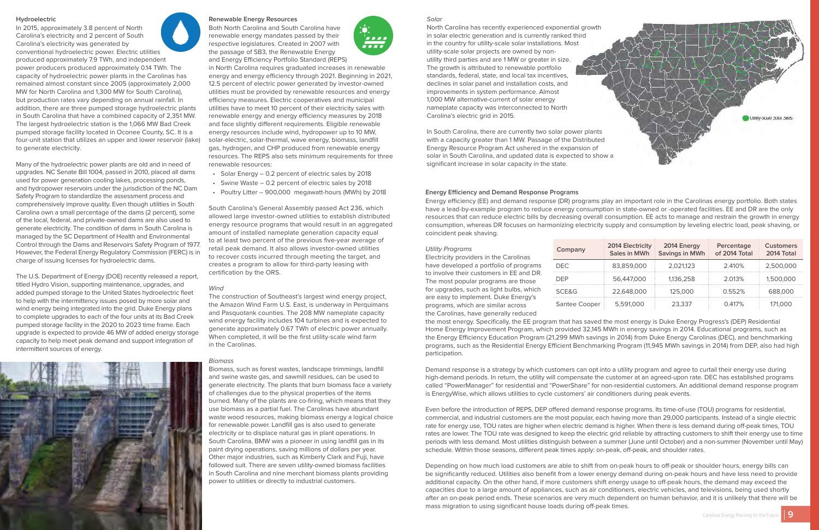#### Solar

North Carolina has recently experienced exponential growth in solar electric generation and is currently ranked third in the country for utility-scale solar installations. Most utility-scale solar projects are owned by nonutility third parties and are 1 MW or greater in size. The growth is attributed to renewable portfolio standards, federal, state, and local tax incentives, declines in solar panel and installation costs, and improvements in system performance. Almost 1,000 MW alternative-current of solar energy nameplate capacity was interconnected to North Carolina's electric grid in 2015.

In South Carolina, there are currently two solar power plants with a capacity greater than 1 MW. Passage of the Distributed Energy Resource Program Act ushered in the expansion of solar in South Carolina, and updated data is expected to show a significant increase in solar capacity in the state.

#### <span id="page-4-0"></span>**Hydroelectric**

In 2015, approximately 3.8 percent of North Carolina's electricity and 2 percent of South Carolina's electricity was generated by conventional hydroelectric power. Electric utilities produced approximately 7.9 TWh, and independent power producers produced approximately 0.14 TWh. The capacity of hydroelectric power plants in the Carolinas has remained almost constant since 2005 (approximately 2,000 MW for North Carolina and 1,300 MW for South Carolina), but production rates vary depending on annual rainfall. In addition, there are three pumped storage hydroelectric plants in South Carolina that have a combined capacity of 2,351 MW. The largest hydroelectric station is the 1,066 MW Bad Creek pumped storage facility located in Oconee County, SC. It is a four-unit station that utilizes an upper and lower reservoir (lake) to generate electricity.

Many of the hydroelectric power plants are old and in need of upgrades. NC Senate Bill 1004, passed in 2010, placed all dams used for power generation cooling lakes, processing ponds, and hydropower reservoirs under the jurisdiction of the NC Dam Safety Program to standardize the assessment process and comprehensively improve quality. Even though utilities in South Carolina own a small percentage of the dams (2 percent), some of the local, federal, and private-owned dams are also used to generate electricity. The condition of dams in South Carolina is managed by the SC Department of Health and Environmental Control through the Dams and Reservoirs Safety Program of 1977. However, the Federal Energy Regulatory Commission (FERC) is in charge of issuing licenses for hydroelectric dams.

The U.S. Department of Energy (DOE) recently released a report, titled Hydro Vision, supporting maintenance, upgrades, and added pumped storage to the United States hydroelectric fleet to help with the intermittency issues posed by more solar and wind energy being integrated into the grid. Duke Energy plans to complete upgrades to each of the four units at its Bad Creek pumped storage facility in the 2020 to 2023 time frame. Each upgrade is expected to provide 46 MW of added energy storage capacity to help meet peak demand and support integration of intermittent sources of energy.



#### **Renewable Energy Resources**

Both North Carolina and South Carolina have renewable energy mandates passed by their respective legislatures. Created in 2007 with the passage of SB3, the Renewable Energy and Energy Efficiency Portfolio Standard (REPS)

in North Carolina requires graduated increases in renewable energy and energy efficiency through 2021. Beginning in 2021, 12.5 percent of electric power generated by investor-owned utilities must be provided by renewable resources and energy efficiency measures. Electric cooperatives and municipal utilities have to meet 10 percent of their electricity sales with renewable energy and energy efficiency measures by 2018 and face slightly different requirements. Eligible renewable energy resources include wind, hydropower up to 10 MW, solar-electric, solar-thermal, wave energy, biomass, landfill gas, hydrogen, and CHP produced from renewable energy resources. The REPS also sets minimum requirements for three renewable resources:

- Solar Energy 0.2 percent of electric sales by 2018
- Swine Waste 0.2 percent of electric sales by 2018
- Poultry Litter 900,000 megawatt-hours (MWh) by 2018

South Carolina's General Assembly passed Act 236, which allowed large investor-owned utilities to establish distributed energy resource programs that would result in an aggregated amount of installed nameplate generation capacity equal to at least two percent of the previous five-year average of retail peak demand. It also allows investor-owned utilities to recover costs incurred through meeting the target, and creates a program to allow for third-party leasing with certification by the ORS.

#### Wind

The construction of Southeast's largest wind energy project, the Amazon Wind Farm U.S. East, is underway in Perquimans and Pasquotank counties. The 208 MW nameplate capacity wind energy facility includes 104 turbines and is expected to generate approximately 0.67 TWh of electric power annually. When completed, it will be the first utility-scale wind farm in the Carolinas.

#### Biomass

Biomass, such as forest wastes, landscape trimmings, landfill and swine waste gas, and sawmill residues, can be used to generate electricity. The plants that burn biomass face a variety of challenges due to the physical properties of the items burned. Many of the plants are co-firing, which means that they use biomass as a partial fuel. The Carolinas have abundant waste wood resources, making biomass energy a logical choice for renewable power. Landfill gas is also used to generate electricity or to displace natural gas in plant operations. In South Carolina, BMW was a pioneer in using landfill gas in its paint drying operations, saving millions of dollars per year. Other major industries, such as Kimberly Clark and Fuji, have followed suit. There are seven utility-owned biomass facilities in South Carolina and nine merchant biomass plants providing power to utilities or directly to industrial customers.



#### **Energy Efficiency and Demand Response Programs**

Energy efficiency (EE) and demand response (DR) programs play an important role in the Carolinas energy portfolio. Both states have a lead-by-example program to reduce energy consumption in state-owned or -operated facilities. EE and DR are the only resources that can reduce electric bills by decreasing overall consumption. EE acts to manage and restrain the growth in energy consumption, whereas DR focuses on harmonizing electricity supply and consumption by leveling electric load, peak shaving, or coincident peak shaving.

#### Utility Programs

Electricity providers in the Carolinas have developed a portfolio of programs to involve their customers in EE and DR. The most popular programs are those for upgrades, such as light bulbs, which are easy to implement. Duke Energy's programs, which are similar across the Carolinas, have generally reduced

# **Company** Santee Cooper

the most energy. Specifically, the EE program that has saved the most energy is Duke Energy Progress's (DEP) Residential Home Energy Improvement Program, which provided 32,145 MWh in energy savings in 2014. Educational programs, such as the Energy Efficiency Education Program (21,299 MWh savings in 2014) from Duke Energy Carolinas (DEC), and benchmarking programs, such as the Residential Energy Efficient Benchmarking Program (11,945 MWh savings in 2014) from DEP, also had high participation.

Demand response is a strategy by which customers can opt into a utility program and agree to curtail their energy use during high-demand periods. In return, the utility will compensate the customer at an agreed-upon rate. DEC has established programs called "PowerManager" for residential and "PowerShare" for non-residential customers. An additional demand response program is EnergyWise, which allows utilities to cycle customers' air conditioners during peak events.

Even before the introduction of REPS, DEP offered demand response programs. Its time-of-use (TOU) programs for residential, commercial, and industrial customers are the most popular, each having more than 29,000 participants. Instead of a single electric rate for energy use, TOU rates are higher when electric demand is higher. When there is less demand during off-peak times, TOU rates are lower. The TOU rate was designed to keep the electric grid reliable by attracting customers to shift their energy use to time periods with less demand. Most utilities distinguish between a summer (June until October) and a non-summer (November until May) schedule. Within those seasons, different peak times apply: on-peak, off-peak, and shoulder rates.

Depending on how much load customers are able to shift from on-peak hours to off-peak or shoulder hours, energy bills can be significantly reduced. Utilities also benefit from a lower energy demand during on-peak hours and have less need to provide additional capacity. On the other hand, if more customers shift energy usage to off-peak hours, the demand may exceed the capacities due to a large amount of appliances, such as air conditioners, electric vehicles, and televisions, being used shortly after an on-peak period ends. These scenarios are very much dependent on human behavior, and it is unlikely that there will be mass migration to using significant house loads during off-peak times.





| Company       | 2014 Electricity<br>Sales in MWh | 2014 Energy<br>Percentage<br>Savings in MWh<br>of 2014 Total |        | <b>Customers</b><br>2014 Total |  |
|---------------|----------------------------------|--------------------------------------------------------------|--------|--------------------------------|--|
| DEC.          | 83,859,000                       | 2.021.123                                                    | 2.410% | 2,500,000                      |  |
| DFP.          | 56,447,000                       | 1,136,258                                                    | 2.013% | 1,500,000                      |  |
| SCE&G         | 22,648,000                       | 125,000                                                      | 0.552% | 688,000                        |  |
| Santee Cooper | 5,591,000                        | 23,337                                                       | 0.417% | 171,000                        |  |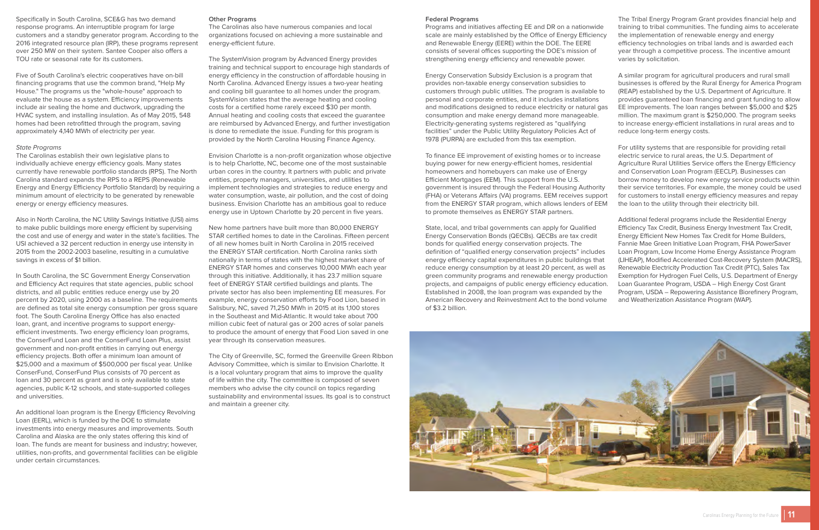Specifically in South Carolina, SCE&G has two demand response programs. An interruptible program for large customers and a standby generator program. According to the 2016 integrated resource plan (IRP), these programs represent over 250 MW on their system. Santee Cooper also offers a TOU rate or seasonal rate for its customers.

Five of South Carolina's electric cooperatives have on-bill financing programs that use the common brand, "Help My House." The programs us the "whole-house" approach to evaluate the house as a system. Efficiency improvements include air sealing the home and ductwork, upgrading the HVAC system, and installing insulation. As of May 2015, 548 homes had been retrofitted through the program, saving approximately 4,140 MWh of electricity per year.

#### State Programs

The Carolinas establish their own legislative plans to individually achieve energy efficiency goals. Many states currently have renewable portfolio standards (RPS). The North Carolina standard expands the RPS to a REPS (Renewable Energy and Energy Efficiency Portfolio Standard) by requiring a minimum amount of electricity to be generated by renewable energy or energy efficiency measures.

Also in North Carolina, the NC Utility Savings Initiative (USI) aims to make public buildings more energy efficient by supervising the cost and use of energy and water in the state's facilities. The USI achieved a 32 percent reduction in energy use intensity in 2015 from the 2002-2003 baseline, resulting in a cumulative savings in excess of \$1 billion.

In South Carolina, the SC Government Energy Conservation and Efficiency Act requires that state agencies, public school districts, and all public entities reduce energy use by 20 percent by 2020, using 2000 as a baseline. The requirements are defined as total site energy consumption per gross square foot. The South Carolina Energy Office has also enacted loan, grant, and incentive programs to support energyefficient investments. Two energy efficiency loan programs, the ConserFund Loan and the ConserFund Loan Plus, assist government and non-profit entities in carrying out energy efficiency projects. Both offer a minimum loan amount of \$25,000 and a maximum of \$500,000 per fiscal year. Unlike ConserFund, ConserFund Plus consists of 70 percent as loan and 30 percent as grant and is only available to state agencies, public K-12 schools, and state-supported colleges and universities.

An additional loan program is the Energy Efficiency Revolving Loan (EERL), which is funded by the DOE to stimulate investments into energy measures and improvements. South Carolina and Alaska are the only states offering this kind of loan. The funds are meant for business and industry; however, utilities, non-profits, and governmental facilities can be eligible under certain circumstances.

#### **Other Programs**

The Carolinas also have numerous companies and local organizations focused on achieving a more sustainable and energy-efficient future.

The SystemVision program by Advanced Energy provides training and technical support to encourage high standards of energy efficiency in the construction of affordable housing in North Carolina. Advanced Energy issues a two-year heating and cooling bill guarantee to all homes under the program. SystemVision states that the average heating and cooling costs for a certified home rarely exceed \$30 per month. Annual heating and cooling costs that exceed the guarantee are reimbursed by Advanced Energy, and further investigation is done to remediate the issue. Funding for this program is provided by the North Carolina Housing Finance Agency.

Envision Charlotte is a non-profit organization whose objective is to help Charlotte, NC, become one of the most sustainable urban cores in the country. It partners with public and private entities, property managers, universities, and utilities to implement technologies and strategies to reduce energy and water consumption, waste, air pollution, and the cost of doing business. Envision Charlotte has an ambitious goal to reduce energy use in Uptown Charlotte by 20 percent in five years.

New home partners have built more than 80,000 ENERGY STAR certified homes to date in the Carolinas. Fifteen percent of all new homes built in North Carolina in 2015 received the ENERGY STAR certification. North Carolina ranks sixth nationally in terms of states with the highest market share of ENERGY STAR homes and conserves 10,000 MWh each year through this initiative. Additionally, it has 23.7 million square feet of ENERGY STAR certified buildings and plants. The private sector has also been implementing EE measures. For example, energy conservation efforts by Food Lion, based in Salisbury, NC, saved 71,250 MWh in 2015 at its 1,100 stores in the Southeast and Mid-Atlantic. It would take about 700 million cubic feet of natural gas or 200 acres of solar panels to produce the amount of energy that Food Lion saved in one year through its conservation measures.

The City of Greenville, SC, formed the Greenville Green Ribbon Advisory Committee, which is similar to Envision Charlotte. It is a local voluntary program that aims to improve the quality of life within the city. The committee is composed of seven members who advise the city council on topics regarding sustainability and environmental issues. Its goal is to construct and maintain a greener city.

#### **Federal Programs**

Programs and initiatives affecting EE and DR on a nationwide scale are mainly established by the Office of Energy Efficiency and Renewable Energy (EERE) within the DOE. The EERE consists of several offices supporting the DOE's mission of strengthening energy efficiency and renewable power. The Tribal Energy Program Grant provides financial help and training to tribal communities. The funding aims to accelerate the implementation of renewable energy and energy efficiency technologies on tribal lands and is awarded each year through a competitive process. The incentive amount varies by solicitation.

Energy Conservation Subsidy Exclusion is a program that provides non-taxable energy conservation subsidies to customers through public utilities. The program is available to personal and corporate entities, and it includes installations and modifications designed to reduce electricity or natural gas consumption and make energy demand more manageable. Electricity-generating systems registered as "qualifying facilities" under the Public Utility Regulatory Policies Act of 1978 (PURPA) are excluded from this tax exemption. A similar program for agricultural producers and rural small businesses is offered by the Rural Energy for America Program (REAP) established by the U.S. Department of Agriculture. It provides guaranteed loan financing and grant funding to allow EE improvements. The loan ranges between \$5,000 and \$25 million. The maximum grant is \$250,000. The program seeks to increase energy-efficient installations in rural areas and to reduce long-term energy costs.

To finance EE improvement of existing homes or to increase buying power for new energy-efficient homes, residential homeowners and homebuyers can make use of Energy Efficient Mortgages (EEM). This support from the U.S. government is insured through the Federal Housing Authority (FHA) or Veterans Affairs (VA) programs. EEM receives support from the ENERGY STAR program, which allows lenders of EEM to promote themselves as ENERGY STAR partners. For utility systems that are responsible for providing retail electric service to rural areas, the U.S. Department of Agriculture Rural Utilities Service offers the Energy Efficiency and Conservation Loan Program (EECLP). Businesses can borrow money to develop new energy service products within their service territories. For example, the money could be used for customers to install energy efficiency measures and repay the loan to the utility through their electricity bill.

State, local, and tribal governments can apply for Qualified Energy Conservation Bonds (QECBs). QECBs are tax credit bonds for qualified energy conservation projects. The definition of "qualified energy conservation projects" includes energy efficiency capital expenditures in public buildings that reduce energy consumption by at least 20 percent, as well as green community programs and renewable energy production projects, and campaigns of public energy efficiency education. Established in 2008, the loan program was expanded by the American Recovery and Reinvestment Act to the bond volume of \$3.2 billion. Additional federal programs include the Residential Energy Efficiency Tax Credit, Business Energy Investment Tax Credit, Energy Efficient New Homes Tax Credit for Home Builders, Fannie Mae Green Initiative Loan Program, FHA PowerSaver Loan Program, Low Income Home Energy Assistance Program (LIHEAP), Modified Accelerated Cost-Recovery System (MACRS), Renewable Electricity Production Tax Credit (PTC), Sales Tax Exemption for Hydrogen Fuel Cells, U.S. Department of Energy Loan Guarantee Program, USDA – High Energy Cost Grant Program, USDA – Repowering Assistance Biorefinery Program, and Weatherization Assistance Program (WAP).

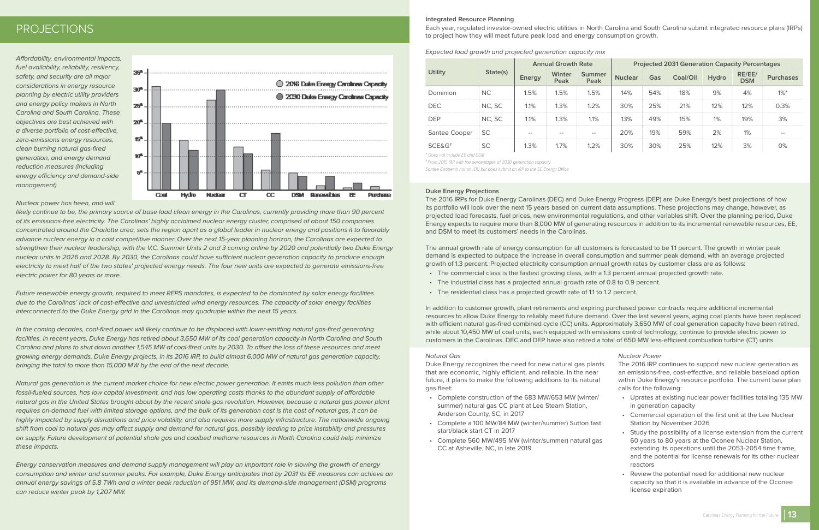Affordability, environmental impacts, fuel availability, reliability, resiliency, safety, and security are all major considerations in energy resource planning by electric utility providers and energy policy makers in North Carolina and South Carolina. These objectives are best achieved with a diverse portfolio of cost-effective, zero-emissions energy resources, clean burning natural gas-fired generation, and energy demand reduction measures (including energy efficiency and demand-side management).



#### Nuclear power has been, and will

likely continue to be, the primary source of base load clean energy in the Carolinas, currently providing more than 90 percent of its emissions-free electricity. The Carolinas' highly acclaimed nuclear energy cluster, comprised of about 150 companies concentrated around the Charlotte area, sets the region apart as a global leader in nuclear energy and positions it to favorably advance nuclear energy in a cost competitive manner. Over the next 15-year planning horizon, the Carolinas are expected to strengthen their nuclear leadership, with the V.C. Summer Units 2 and 3 coming online by 2020 and potentially two Duke Energy nuclear units in 2026 and 2028. By 2030, the Carolinas could have sufficient nuclear generation capacity to produce enough electricity to meet half of the two states' projected energy needs. The four new units are expected to generate emissions-free electric power for 80 years or more.

Future renewable energy growth, required to meet REPS mandates, is expected to be dominated by solar energy facilities due to the Carolinas' lack of cost-effective and unrestricted wind energy resources. The capacity of solar energy facilities interconnected to the Duke Energy grid in the Carolinas may quadruple within the next 15 years.

In the coming decades, coal-fired power will likely continue to be displaced with lower-emitting natural gas-fired generating facilities. In recent years, Duke Energy has retired about 3,650 MW of its coal generation capacity in North Carolina and South Carolina and plans to shut down another 1,545 MW of coal-fired units by 2030. To offset the loss of these resources and meet growing energy demands, Duke Energy projects, in its 2016 IRP, to build almost 6,000 MW of natural gas generation capacity, bringing the total to more than 15,000 MW by the end of the next decade.

Natural gas generation is the current market choice for new electric power generation. It emits much less pollution than other fossil-fueled sources, has low capital investment, and has low operating costs thanks to the abundant supply of affordable natural gas in the United States brought about by the recent shale gas revolution. However, because a natural gas power plant requires on-demand fuel with limited storage options, and the bulk of its generation cost is the cost of natural gas, it can be highly impacted by supply disruptions and price volatility, and also requires more supply infrastructure. The nationwide ongoing shift from coal to natural gas may affect supply and demand for natural gas, possibly leading to price instability and pressures on supply. Future development of potential shale gas and coalbed methane resources in North Carolina could help minimize these impacts.

Energy conservation measures and demand supply management will play an important role in slowing the growth of energy consumption and winter and summer peaks. For example, Duke Energy anticipates that by 2031 its EE measures can achieve an annual energy savings of 5.8 TWh and a winter peak reduction of 951 MW, and its demand-side management (DSM) programs can reduce winter peak by 1,207 MW.

#### **Integrated Resource Planning**

Each year, regulated investor-owned electric utilities in North Carolina and South Carolina submit integrated resource plans (IRPs) to project how they will meet future peak load and energy consumption growth.

Expected load growth and projected generation capacity mix

| <b>Utility</b> | State(s)  | <b>Annual Growth Rate</b> |                       |                       | <b>Projected 2031 Generation Capacity Percentages</b> |     |          |              |                      |                  |
|----------------|-----------|---------------------------|-----------------------|-----------------------|-------------------------------------------------------|-----|----------|--------------|----------------------|------------------|
|                |           | Energy                    | <b>Winter</b><br>Peak | <b>Summer</b><br>Peak | <b>Nuclear</b>                                        | Gas | Coal/Oil | <b>Hydro</b> | RE/EE/<br><b>DSM</b> | <b>Purchases</b> |
| Dominion       | <b>NC</b> | 1.5%                      | 1.5%                  | 1.5%                  | 14%                                                   | 54% | 18%      | 9%           | 4%                   | $1\%$ *          |
| <b>DEC</b>     | NC, SC    | 1.1%                      | 1.3%                  | 1.2%                  | 30%                                                   | 25% | 21%      | 12%          | 12%                  | 0.3%             |
| <b>DEP</b>     | NC, SC    | 1.1%                      | 1.3%                  | 1.1%                  | 13%                                                   | 49% | 15%      | 1%           | 19%                  | 3%               |
| Santee Cooper  | <b>SC</b> | $- -$                     | $- -$                 | $- -$                 | 20%                                                   | 19% | 59%      | 2%           | 1%                   | $- -$            |
| SCE&G#         | <b>SC</b> | 1.3%                      | 1.7%                  | 1.2%                  | 30%                                                   | 30% | 25%      | 12%          | 3%                   | 0%               |

\* Does not include EE and DSM

# From 2015 IRP with the percentages of 2030 generation capacity

Santee Cooper is not an IOU but does submit an IRP to the SC Energy Office

#### **Duke Energy Projections**

The 2016 IRPs for Duke Energy Carolinas (DEC) and Duke Energy Progress (DEP) are Duke Energy's best projections of how its portfolio will look over the next 15 years based on current data assumptions. These projections may change, however, as projected load forecasts, fuel prices, new environmental regulations, and other variables shift. Over the planning period, Duke Energy expects to require more than 8,000 MW of generating resources in addition to its incremental renewable resources, EE, and DSM to meet its customers' needs in the Carolinas.

The annual growth rate of energy consumption for all customers is forecasted to be 1.1 percent. The growth in winter peak demand is expected to outpace the increase in overall consumption and summer peak demand, with an average projected growth of 1.3 percent. Projected electricity consumption annual growth rates by customer class are as follows:

- The commercial class is the fastest growing class, with a 1.3 percent annual projected growth rate.
- The industrial class has a projected annual growth rate of 0.8 to 0.9 percent.
- The residential class has a projected growth rate of 1.1 to 1.2 percent.

In addition to customer growth, plant retirements and expiring purchased power contracts require additional incremental resources to allow Duke Energy to reliably meet future demand. Over the last several years, aging coal plants have been replaced with efficient natural gas-fired combined cycle (CC) units. Approximately 3,650 MW of coal generation capacity have been retired, while about 10,450 MW of coal units, each equipped with emissions control technology, continue to provide electric power to customers in the Carolinas. DEC and DEP have also retired a total of 650 MW less-efficient combustion turbine (CT) units.

#### Natural Gas

Duke Energy recognizes the need for new natural gas plants that are economic, highly efficient, and reliable. In the near future, it plans to make the following additions to its natural gas fleet:

- Complete construction of the 683 MW/653 MW (winter/ summer) natural gas CC plant at Lee Steam Station, Anderson County, SC, in 2017
- Complete a 100 MW/84 MW (winter/summer) Sutton fast start/black start CT in 2017
- Complete 560 MW/495 MW (winter/summer) natural gas CC at Asheville, NC, in late 2019

#### Nuclear Power

- The 2016 IRP continues to support new nuclear generation as an emissions-free, cost-effective, and reliable baseload option within Duke Energy's resource portfolio. The current base plan calls for the following:
	- Uprates at existing nuclear power facilities totaling 135 MW in generation capacity
	- Commercial operation of the first unit at the Lee Nuclear Station by November 2026
	- Study the possibility of a license extension from the current 60 years to 80 years at the Oconee Nuclear Station, extending its operations until the 2053-2054 time frame, and the potential for license renewals for its other nuclear reactors
	- Review the potential need for additional new nuclear capacity so that it is available in advance of the Oconee license expiration



## <span id="page-6-0"></span>PROJECTIONS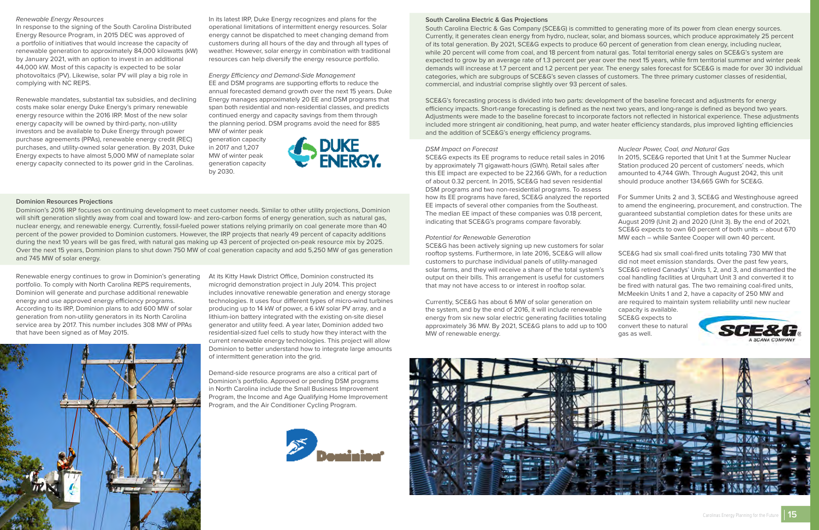#### <span id="page-7-0"></span>Renewable Energy Resources

In response to the signing of the South Carolina Distributed Energy Resource Program, in 2015 DEC was approved of a portfolio of initiatives that would increase the capacity of renewable generation to approximately 84,000 kilowatts (kW) by January 2021, with an option to invest in an additional 44,000 kW. Most of this capacity is expected to be solar photovoltaics (PV). Likewise, solar PV will play a big role in complying with NC REPS.

Renewable mandates, substantial tax subsidies, and declining costs make solar energy Duke Energy's primary renewable energy resource within the 2016 IRP. Most of the new solar energy capacity will be owned by third-party, non-utility investors and be available to Duke Energy through power purchase agreements (PPAs), renewable energy credit (REC) purchases, and utility-owned solar generation. By 2031, Duke Energy expects to have almost 5,000 MW of nameplate solar energy capacity connected to its power grid in the Carolinas.

In its latest IRP, Duke Energy recognizes and plans for the operational limitations of intermittent energy resources. Solar energy cannot be dispatched to meet changing demand from customers during all hours of the day and through all types of weather. However, solar energy in combination with traditional resources can help diversify the energy resource portfolio.

Energy Efficiency and Demand-Side Management EE and DSM programs are supporting efforts to reduce the annual forecasted demand growth over the next 15 years. Duke Energy manages approximately 20 EE and DSM programs that span both residential and non-residential classes, and predicts continued energy and capacity savings from them through the planning period. DSM programs avoid the need for 885 MW of winter peak



generation capacity in 2017 and 1,207 MW of winter peak generation capacity

by 2030.

#### **Dominion Resources Projections**

Dominion's 2016 IRP focuses on continuing development to meet customer needs. Similar to other utility projections, Dominion will shift generation slightly away from coal and toward low- and zero-carbon forms of energy generation, such as natural gas, nuclear energy, and renewable energy. Currently, fossil-fueled power stations relying primarily on coal generate more than 40 percent of the power provided to Dominion customers. However, the IRP projects that nearly 49 percent of capacity additions during the next 10 years will be gas fired, with natural gas making up 43 percent of projected on-peak resource mix by 2025. Over the next 15 years, Dominion plans to shut down 750 MW of coal generation capacity and add 5,250 MW of gas generation and 745 MW of solar energy.

Renewable energy continues to grow in Dominion's generating portfolio. To comply with North Carolina REPS requirements, Dominion will generate and purchase additional renewable energy and use approved energy efficiency programs. According to its IRP, Dominion plans to add 600 MW of solar generation from non-utility generators in its North Carolina service area by 2017. This number includes 308 MW of PPAs that have been signed as of May 2015.



At its Kitty Hawk District Office, Dominion constructed its microgrid demonstration project in July 2014. This project includes innovative renewable generation and energy storage technologies. It uses four different types of micro-wind turbines producing up to 14 kW of power, a 6 kW solar PV array, and a lithium-ion battery integrated with the existing on-site diesel generator and utility feed. A year later, Dominion added two residential-sized fuel cells to study how they interact with the current renewable energy technologies. This project will allow Dominion to better understand how to integrate large amounts of intermittent generation into the grid.

Demand-side resource programs are also a critical part of Dominion's portfolio. Approved or pending DSM programs in North Carolina include the Small Business Improvement Program, the Income and Age Qualifying Home Improvement Program, and the Air Conditioner Cycling Program.



#### **South Carolina Electric & Gas Projections**

South Carolina Electric & Gas Company (SCE&G) is committed to generating more of its power from clean energy sources. Currently, it generates clean energy from hydro, nuclear, solar, and biomass sources, which produce approximately 25 percent of its total generation. By 2021, SCE&G expects to produce 60 percent of generation from clean energy, including nuclear, while 20 percent will come from coal, and 18 percent from natural gas. Total territorial energy sales on SCE&G's system are expected to grow by an average rate of 1.3 percent per year over the next 15 years, while firm territorial summer and winter peak demands will increase at 1.7 percent and 1.2 percent per year. The energy sales forecast for SCE&G is made for over 30 individual categories, which are subgroups of SCE&G's seven classes of customers. The three primary customer classes of residential, commercial, and industrial comprise slightly over 93 percent of sales.

SCE&G's forecasting process is divided into two parts: development of the baseline forecast and adjustments for energy efficiency impacts. Short-range forecasting is defined as the next two years, and long-range is defined as beyond two years. Adjustments were made to the baseline forecast to incorporate factors not reflected in historical experience. These adjustments included more stringent air conditioning, heat pump, and water heater efficiency standards, plus improved lighting efficiencies and the addition of SCE&G's energy efficiency programs.

#### DSM Impact on Forecast

SCE&G expects its EE programs to reduce retail sales in 2016 by approximately 71 gigawatt-hours (GWh). Retail sales after this EE impact are expected to be 22,166 GWh, for a reduction of about 0.32 percent. In 2015, SCE&G had seven residential DSM programs and two non-residential programs. To assess how its EE programs have fared, SCE&G analyzed the reported EE impacts of several other companies from the Southeast. The median EE impact of these companies was 0.18 percent, indicating that SCE&G's programs compare favorably.

#### Potential for Renewable Generation

SCE&G has been actively signing up new customers for solar rooftop systems. Furthermore, in late 2016, SCE&G will allow customers to purchase individual panels of utility-managed solar farms, and they will receive a share of the total system's output on their bills. This arrangement is useful for customers that may not have access to or interest in rooftop solar.

Currently, SCE&G has about 6 MW of solar generation on the system, and by the end of 2016, it will include renewable energy from six new solar electric generating facilities totaling approximately 36 MW. By 2021, SCE&G plans to add up to 100 MW of renewable energy.



#### Nuclear Power, Coal, and Natural Gas

- In 2015, SCE&G reported that Unit 1 at the Summer Nuclear Station produced 20 percent of customers' needs, which amounted to 4,744 GWh. Through August 2042, this unit should produce another 134,665 GWh for SCE&G.
- For Summer Units 2 and 3, SCE&G and Westinghouse agreed to amend the engineering, procurement, and construction. The guaranteed substantial completion dates for these units are August 2019 (Unit 2) and 2020 (Unit 3). By the end of 2021, SCE&G expects to own 60 percent of both units – about 670 MW each – while Santee Cooper will own 40 percent.

### SCE&G had six small coal-fired units totaling 730 MW that did not meet emission standards. Over the past few years,

- SCE&G retired Canadys' Units 1, 2, and 3, and dismantled the coal handling facilities at Urquhart Unit 3 and converted it to be fired with natural gas. The two remaining coal-fired units, McMeekin Units 1 and 2, have a capacity of 250 MW and are required to maintain system reliability until new nuclear capacity is available.
- SCE&G expects to
- convert these to natural gas as well.



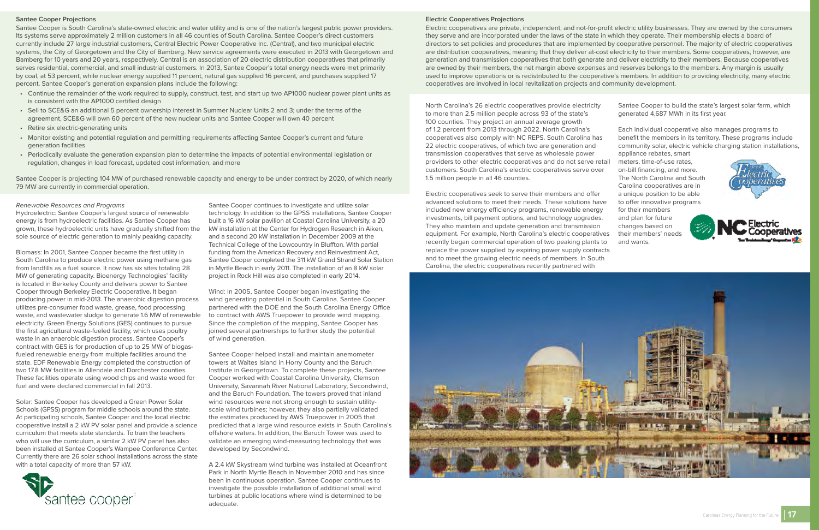#### <span id="page-8-0"></span>**Santee Cooper Projections**

Santee Cooper is South Carolina's state-owned electric and water utility and is one of the nation's largest public power providers. Its systems serve approximately 2 million customers in all 46 counties of South Carolina. Santee Cooper's direct customers currently include 27 large industrial customers, Central Electric Power Cooperative Inc. (Central), and two municipal electric systems, the City of Georgetown and the City of Bamberg. New service agreements were executed in 2013 with Georgetown and Bamberg for 10 years and 20 years, respectively. Central is an association of 20 electric distribution cooperatives that primarily serves residential, commercial, and small industrial customers. In 2013, Santee Cooper's total energy needs were met primarily by coal, at 53 percent, while nuclear energy supplied 11 percent, natural gas supplied 16 percent, and purchases supplied 17 percent. Santee Cooper's generation expansion plans include the following:

- Continue the remainder of the work required to supply, construct, test, and start up two AP1000 nuclear power plant units as is consistent with the AP1000 certified design
- Sell to SCE&G an additional 5 percent ownership interest in Summer Nuclear Units 2 and 3; under the terms of the agreement, SCE&G will own 60 percent of the new nuclear units and Santee Cooper will own 40 percent
- Retire six electric-generating units
- Monitor existing and potential regulation and permitting requirements affecting Santee Cooper's current and future generation facilities
- Periodically evaluate the generation expansion plan to determine the impacts of potential environmental legislation or regulation, changes in load forecast, updated cost information, and more

Santee Cooper is projecting 104 MW of purchased renewable capacity and energy to be under contract by 2020, of which nearly 79 MW are currently in commercial operation.

#### **Electric Cooperatives Projections**

Electric cooperatives are private, independent, and not-for-profit electric utility businesses. They are owned by the consumers they serve and are incorporated under the laws of the state in which they operate. Their membership elects a board of directors to set policies and procedures that are implemented by cooperative personnel. The majority of electric cooperatives are distribution cooperatives, meaning that they deliver at-cost electricity to their members. Some cooperatives, however, are generation and transmission cooperatives that both generate and deliver electricity to their members. Because cooperatives are owned by their members, the net margin above expenses and reserves belongs to the members. Any margin is usually used to improve operations or is redistributed to the cooperative's members. In addition to providing electricity, many electric cooperatives are involved in local revitalization projects and community development.

#### Renewable Resources and Programs

Hydroelectric: Santee Cooper's largest source of renewable energy is from hydroelectric facilities. As Santee Cooper has grown, these hydroelectric units have gradually shifted from the sole source of electric generation to mainly peaking capacity.

Biomass: In 2001, Santee Cooper became the first utility in South Carolina to produce electric power using methane gas from landfills as a fuel source. It now has six sites totaling 28 MW of generating capacity. Bioenergy Technologies' facility is located in Berkeley County and delivers power to Santee Cooper through Berkeley Electric Cooperative. It began producing power in mid-2013. The anaerobic digestion process utilizes pre-consumer food waste, grease, food processing waste, and wastewater sludge to generate 1.6 MW of renewable electricity. Green Energy Solutions (GES) continues to pursue the first agricultural waste-fueled facility, which uses poultry waste in an anaerobic digestion process. Santee Cooper's contract with GES is for production of up to 25 MW of biogasfueled renewable energy from multiple facilities around the state. EDF Renewable Energy completed the construction of two 17.8 MW facilities in Allendale and Dorchester counties. These facilities operate using wood chips and waste wood for fuel and were declared commercial in fall 2013.

Solar: Santee Cooper has developed a Green Power Solar Schools (GPSS) program for middle schools around the state. At participating schools, Santee Cooper and the local electric cooperative install a 2 kW PV solar panel and provide a science curriculum that meets state standards. To train the teachers who will use the curriculum, a similar 2 kW PV panel has also been installed at Santee Cooper's Wampee Conference Center. Currently there are 26 solar school installations across the state with a total capacity of more than 57 kW.



Santee Cooper continues to investigate and utilize solar technology. In addition to the GPSS installations, Santee Cooper built a 16 kW solar pavilion at Coastal Carolina University, a 20 kW installation at the Center for Hydrogen Research in Aiken, and a second 20 kW installation in December 2009 at the Technical College of the Lowcountry in Bluffton. With partial funding from the American Recovery and Reinvestment Act, Santee Cooper completed the 311 kW Grand Strand Solar Station in Myrtle Beach in early 2011. The installation of an 8 kW solar project in Rock Hill was also completed in early 2014.

Wind: In 2005, Santee Cooper began investigating the wind generating potential in South Carolina. Santee Cooper partnered with the DOE and the South Carolina Energy Office to contract with AWS Truepower to provide wind mapping. Since the completion of the mapping, Santee Cooper has joined several partnerships to further study the potential of wind generation.

Santee Cooper helped install and maintain anemometer towers at Waites Island in Horry County and the Baruch Institute in Georgetown. To complete these projects, Santee Cooper worked with Coastal Carolina University, Clemson University, Savannah River National Laboratory, Secondwind, and the Baruch Foundation. The towers proved that inland wind resources were not strong enough to sustain utilityscale wind turbines; however, they also partially validated the estimates produced by AWS Truepower in 2005 that predicted that a large wind resource exists in South Carolina's offshore waters. In addition, the Baruch Tower was used to validate an emerging wind-measuring technology that was developed by Secondwind.

A 2.4 kW Skystream wind turbine was installed at Oceanfront Park in North Myrtle Beach in November 2010 and has since been in continuous operation. Santee Cooper continues to investigate the possible installation of additional small wind turbines at public locations where wind is determined to be adequate.

North Carolina's 26 electric cooperatives provide electricity to more than 2.5 million people across 93 of the state's 100 counties. They project an annual average growth of 1.2 percent from 2013 through 2022. North Carolina's cooperatives also comply with NC REPS. South Carolina has 22 electric cooperatives, of which two are generation and transmission cooperatives that serve as wholesale power providers to other electric cooperatives and do not serve retail customers. South Carolina's electric cooperatives serve over 1.5 million people in all 46 counties. Electric cooperatives seek to serve their members and offer generated 4,687 MWh in its first year. Each individual cooperative also manages programs to benefit the members in its territory. These programs include community solar, electric vehicle charging station installations, appliance rebates, smart meters, time-of-use rates, on-bill financing, and more. The North Carolina and South Carolina cooperatives are in a unique position to be able to offer innovative programs

advanced solutions to meet their needs. These solutions have included new energy efficiency programs, renewable energy investments, bill payment options, and technology upgrades. They also maintain and update generation and transmission equipment. For example, North Carolina's electric cooperatives recently began commercial operation of two peaking plants to replace the power supplied by expiring power supply contracts and to meet the growing electric needs of members. In South Carolina, the electric cooperatives recently partnered with



Santee Cooper to build the state's largest solar farm, which

for their members and plan for future changes based on their members' needs and wants.





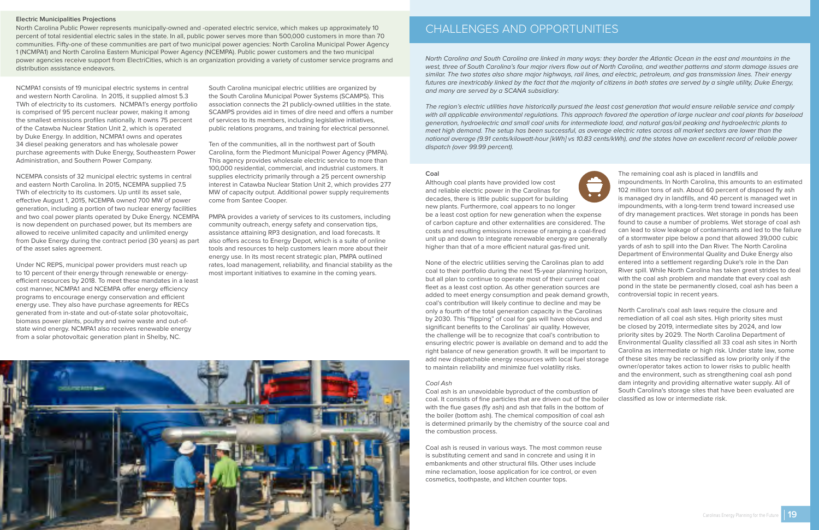North Carolina and South Carolina are linked in many ways: they border the Atlantic Ocean in the east and mountains in the west, three of South Carolina's four major rivers flow out of North Carolina, and weather patterns and storm damage issues are similar. The two states also share major highways, rail lines, and electric, petroleum, and gas transmission lines. Their energy futures are inextricably linked by the fact that the majority of citizens in both states are served by a single utility, Duke Energy, and many are served by a SCANA subsidiary.

The region's electric utilities have historically pursued the least cost generation that would ensure reliable service and comply with all applicable environmental regulations. This approach favored the operation of large nuclear and coal plants for baseload generation, hydroelectric and small coal units for intermediate load, and natural gas/oil peaking and hydroelectric plants to meet high demand. The setup has been successful, as average electric rates across all market sectors are lower than the national average (9.91 cents/kilowatt-hour [kWh] vs 10.83 cents/kWh), and the states have an excellent record of reliable power dispatch (over 99.99 percent).

#### **Coal**

Although coal plants have provided low cost and reliable electric power in the Carolinas for decades, there is little public support for building new plants. Furthermore, coal appears to no longer be a least cost option for new generation when the expense of carbon capture and other externalities are considered. The costs and resulting emissions increase of ramping a coal-fired unit up and down to integrate renewable energy are generally higher than that of a more efficient natural gas-fired unit.

None of the electric utilities serving the Carolinas plan to add coal to their portfolio during the next 15-year planning horizon, but all plan to continue to operate most of their current coal fleet as a least cost option. As other generation sources are added to meet energy consumption and peak demand growth, coal's contribution will likely continue to decline and may be only a fourth of the total generation capacity in the Carolinas by 2030. This "flipping" of coal for gas will have obvious and significant benefits to the Carolinas' air quality. However, the challenge will be to recognize that coal's contribution to ensuring electric power is available on demand and to add the right balance of new generation growth. It will be important to add new dispatchable energy resources with local fuel storage to maintain reliability and minimize fuel volatility risks.

#### Coal Ash

Coal ash is an unavoidable byproduct of the combustion of coal. It consists of fine particles that are driven out of the boiler with the flue gases (fly ash) and ash that falls in the bottom of the boiler (bottom ash). The chemical composition of coal ash is determined primarily by the chemistry of the source coal and the combustion process.

Coal ash is reused in various ways. The most common reuse is substituting cement and sand in concrete and using it in embankments and other structural fills. Other uses include mine reclamation, loose application for ice control, or even cosmetics, toothpaste, and kitchen counter tops.





The remaining coal ash is placed in landfills and impoundments. In North Carolina, this amounts to an estimated 102 million tons of ash. About 60 percent of disposed fly ash is managed dry in landfills, and 40 percent is managed wet in impoundments, with a long-term trend toward increased use of dry management practices. Wet storage in ponds has been found to cause a number of problems. Wet storage of coal ash can lead to slow leakage of contaminants and led to the failure of a stormwater pipe below a pond that allowed 39,000 cubic yards of ash to spill into the Dan River. The North Carolina Department of Environmental Quality and Duke Energy also entered into a settlement regarding Duke's role in the Dan River spill. While North Carolina has taken great strides to deal with the coal ash problem and mandate that every coal ash pond in the state be permanently closed, coal ash has been a controversial topic in recent years.

North Carolina's coal ash laws require the closure and remediation of all coal ash sites. High priority sites must be closed by 2019, intermediate sites by 2024, and low priority sites by 2029. The North Carolina Department of Environmental Quality classified all 33 coal ash sites in North Carolina as intermediate or high risk. Under state law, some of these sites may be reclassified as low priority only if the owner/operator takes action to lower risks to public health and the environment, such as strengthening coal ash pond dam integrity and providing alternative water supply. All of South Carolina's storage sites that have been evaluated are classified as low or intermediate risk.

#### <span id="page-9-0"></span>**Electric Municipalities Projections**

North Carolina Public Power represents municipally-owned and -operated electric service, which makes up approximately 10 percent of total residential electric sales in the state. In all, public power serves more than 500,000 customers in more than 70 communities. Fifty-one of these communities are part of two municipal power agencies: North Carolina Municipal Power Agency 1 (NCMPA1) and North Carolina Eastern Municipal Power Agency (NCEMPA). Public power customers and the two municipal power agencies receive support from ElectriCities, which is an organization providing a variety of customer service programs and distribution assistance endeavors.

NCMPA1 consists of 19 municipal electric systems in central and western North Carolina. In 2015, it supplied almost 5.3 TWh of electricity to its customers. NCMPA1's energy portfolio is comprised of 95 percent nuclear power, making it among the smallest emissions profiles nationally. It owns 75 percent of the Catawba Nuclear Station Unit 2, which is operated by Duke Energy. In addition, NCMPA1 owns and operates 34 diesel peaking generators and has wholesale power purchase agreements with Duke Energy, Southeastern Power Administration, and Southern Power Company.

NCEMPA consists of 32 municipal electric systems in central and eastern North Carolina. In 2015, NCEMPA supplied 7.5 TWh of electricity to its customers. Up until its asset sale, effective August 1, 2015, NCEMPA owned 700 MW of power generation, including a portion of two nuclear energy facilities and two coal power plants operated by Duke Energy. NCEMPA is now dependent on purchased power, but its members are allowed to receive unlimited capacity and unlimited energy from Duke Energy during the contract period (30 years) as part of the asset sales agreement.

Under NC REPS, municipal power providers must reach up to 10 percent of their energy through renewable or energyefficient resources by 2018. To meet these mandates in a least cost manner, NCMPA1 and NCEMPA offer energy efficiency programs to encourage energy conservation and efficient energy use. They also have purchase agreements for RECs generated from in-state and out-of-state solar photovoltaic, biomass power plants, poultry and swine waste and out-ofstate wind energy. NCMPA1 also receives renewable energy from a solar photovoltaic generation plant in Shelby, NC.

South Carolina municipal electric utilities are organized by the South Carolina Municipal Power Systems (SCAMPS). This association connects the 21 publicly-owned utilities in the state. SCAMPS provides aid in times of dire need and offers a number of services to its members, including legislative initiatives, public relations programs, and training for electrical personnel.

Ten of the communities, all in the northwest part of South Carolina, form the Piedmont Municipal Power Agency (PMPA). This agency provides wholesale electric service to more than 100,000 residential, commercial, and industrial customers. It supplies electricity primarily through a 25 percent ownership interest in Catawba Nuclear Station Unit 2, which provides 277 MW of capacity output. Additional power supply requirements come from Santee Cooper.

PMPA provides a variety of services to its customers, including community outreach, energy safety and conservation tips, assistance attaining RP3 designation, and load forecasts. It also offers access to Energy Depot, which is a suite of online tools and resources to help customers learn more about their energy use. In its most recent strategic plan, PMPA outlined rates, load management, reliability, and financial stability as the most important initiatives to examine in the coming years.

**19**

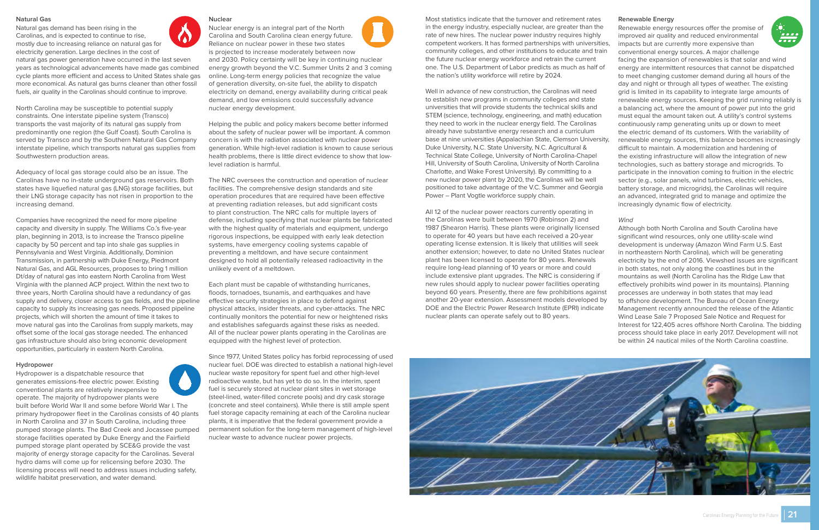#### <span id="page-10-0"></span>**Natural Gas**

Natural gas demand has been rising in the Carolinas, and is expected to continue to rise, mostly due to increasing reliance on natural gas for electricity generation. Large declines in the cost of



natural gas power generation have occurred in the last seven years as technological advancements have made gas combined cycle plants more efficient and access to United States shale gas more economical. As natural gas burns cleaner than other fossil fuels, air quality in the Carolinas should continue to improve.

North Carolina may be susceptible to potential supply constraints. One interstate pipeline system (Transco) transports the vast majority of its natural gas supply from predominantly one region (the Gulf Coast). South Carolina is served by Transco and by the Southern Natural Gas Company interstate pipeline, which transports natural gas supplies from Southwestern production areas.

Adequacy of local gas storage could also be an issue. The Carolinas have no in-state underground gas reservoirs. Both states have liquefied natural gas (LNG) storage facilities, but their LNG storage capacity has not risen in proportion to the increasing demand.

Companies have recognized the need for more pipeline capacity and diversity in supply. The Williams Co.'s five-year plan, beginning in 2013, is to increase the Transco pipeline capacity by 50 percent and tap into shale gas supplies in Pennsylvania and West Virginia. Additionally, Dominion Transmission, in partnership with Duke Energy, Piedmont Natural Gas, and AGL Resources, proposes to bring 1 million Dt/day of natural gas into eastern North Carolina from West Virginia with the planned ACP project. Within the next two to three years, North Carolina should have a redundancy of gas supply and delivery, closer access to gas fields, and the pipeline capacity to supply its increasing gas needs. Proposed pipeline projects, which will shorten the amount of time it takes to move natural gas into the Carolinas from supply markets, may offset some of the local gas storage needed. The enhanced gas infrastructure should also bring economic development opportunities, particularly in eastern North Carolina.

#### **Hydropower**

Hydropower is a dispatchable resource that generates emissions-free electric power. Existing conventional plants are relatively inexpensive to operate. The majority of hydropower plants were built before World War II and some before World War I. The primary hydropower fleet in the Carolinas consists of 40 plants in North Carolina and 37 in South Carolina, including three pumped storage plants. The Bad Creek and Jocassee pumped storage facilities operated by Duke Energy and the Fairfield pumped storage plant operated by SCE&G provide the vast majority of energy storage capacity for the Carolinas. Several hydro dams will come up for relicensing before 2030. The licensing process will need to address issues including safety, wildlife habitat preservation, and water demand.



Nuclear energy is an integral part of the North Carolina and South Carolina clean energy future. Reliance on nuclear power in these two states is projected to increase moderately between now and 2030. Policy certainty will be key in continuing nuclear energy growth beyond the V.C. Summer Units 2 and 3 coming online. Long-term energy policies that recognize the value of generation diversity, on-site fuel, the ability to dispatch electricity on demand, energy availability during critical peak demand, and low emissions could successfully advance nuclear energy development.

Helping the public and policy makers become better informed about the safety of nuclear power will be important. A common concern is with the radiation associated with nuclear power generation. While high-level radiation is known to cause serious health problems, there is little direct evidence to show that lowlevel radiation is harmful.

The NRC oversees the construction and operation of nuclear facilities. The comprehensive design standards and site operation procedures that are required have been effective at preventing radiation releases, but add significant costs to plant construction. The NRC calls for multiple layers of defense, including specifying that nuclear plants be fabricated with the highest quality of materials and equipment, undergo rigorous inspections, be equipped with early leak detection systems, have emergency cooling systems capable of preventing a meltdown, and have secure containment designed to hold all potentially released radioactivity in the unlikely event of a meltdown.

Each plant must be capable of withstanding hurricanes, floods, tornadoes, tsunamis, and earthquakes and have effective security strategies in place to defend against physical attacks, insider threats, and cyber-attacks. The NRC continually monitors the potential for new or heightened risks and establishes safeguards against these risks as needed. All of the nuclear power plants operating in the Carolinas are equipped with the highest level of protection.

Since 1977, United States policy has forbid reprocessing of used nuclear fuel. DOE was directed to establish a national high-level nuclear waste repository for spent fuel and other high-level radioactive waste, but has yet to do so. In the interim, spent fuel is securely stored at nuclear plant sites in wet storage (steel-lined, water-filled concrete pools) and dry cask storage (concrete and steel containers). While there is still ample spent fuel storage capacity remaining at each of the Carolina nuclear plants, it is imperative that the federal government provide a permanent solution for the long-term management of high-level nuclear waste to advance nuclear power projects.



Most statistics indicate that the turnover and retirement rates in the energy industry, especially nuclear, are greater than the rate of new hires. The nuclear power industry requires highly competent workers. It has formed partnerships with universities, community colleges, and other institutions to educate and train the future nuclear energy workforce and retrain the current one. The U.S. Department of Labor predicts as much as half of the nation's utility workforce will retire by 2024.

Well in advance of new construction, the Carolinas will need to establish new programs in community colleges and state universities that will provide students the technical skills and STEM (science, technology, engineering, and math) education they need to work in the nuclear energy field. The Carolinas already have substantive energy research and a curriculum base at nine universities (Appalachian State, Clemson University, Duke University, N.C. State University, N.C. Agricultural & Technical State College, University of North Carolina-Chapel Hill, University of South Carolina, University of North Carolina Charlotte, and Wake Forest University). By committing to a new nuclear power plant by 2020, the Carolinas will be well positioned to take advantage of the V.C. Summer and Georgia Power – Plant Vogtle workforce supply chain.

All 12 of the nuclear power reactors currently operating in the Carolinas were built between 1970 (Robinson 2) and 1987 (Shearon Harris). These plants were originally licensed to operate for 40 years but have each received a 20-year operating license extension. It is likely that utilities will seek another extension; however, to date no United States nuclear plant has been licensed to operate for 80 years. Renewals require long-lead planning of 10 years or more and could include extensive plant upgrades. The NRC is considering if new rules should apply to nuclear power facilities operating beyond 60 years. Presently, there are few prohibitions against another 20-year extension. Assessment models developed by DOE and the Electric Power Research Institute (EPRI) indicate nuclear plants can operate safely out to 80 years.





#### **Renewable Energy**

Renewable energy resources offer the promise of improved air quality and reduced environmental impacts but are currently more expensive than conventional energy sources. A major challenge



- facing the expansion of renewables is that solar and wind energy are intermittent resources that cannot be dispatched to meet changing customer demand during all hours of the day and night or through all types of weather. The existing grid is limited in its capability to integrate large amounts of renewable energy sources. Keeping the grid running reliably is a balancing act, where the amount of power put into the grid must equal the amount taken out. A utility's control systems continuously ramp generating units up or down to meet the electric demand of its customers. With the variability of
- renewable energy sources, this balance becomes increasingly difficult to maintain. A modernization and hardening of the existing infrastructure will allow the integration of new technologies, such as battery storage and microgrids. To participate in the innovation coming to fruition in the electric sector (e.g., solar panels, wind turbines, electric vehicles, battery storage, and microgrids), the Carolinas will require an advanced, integrated grid to manage and optimize the increasingly dynamic flow of electricity.

#### Wind

Although both North Carolina and South Carolina have significant wind resources, only one utility-scale wind development is underway (Amazon Wind Farm U.S. East in northeastern North Carolina), which will be generating electricity by the end of 2016. Viewshed issues are significant in both states, not only along the coastlines but in the mountains as well (North Carolina has the Ridge Law that effectively prohibits wind power in its mountains). Planning processes are underway in both states that may lead to offshore development. The Bureau of Ocean Energy Management recently announced the release of the Atlantic Wind Lease Sale 7 Proposed Sale Notice and Request for Interest for 122,405 acres offshore North Carolina. The bidding

process should take place in early 2017. Development will not be within 24 nautical miles of the North Carolina coastline.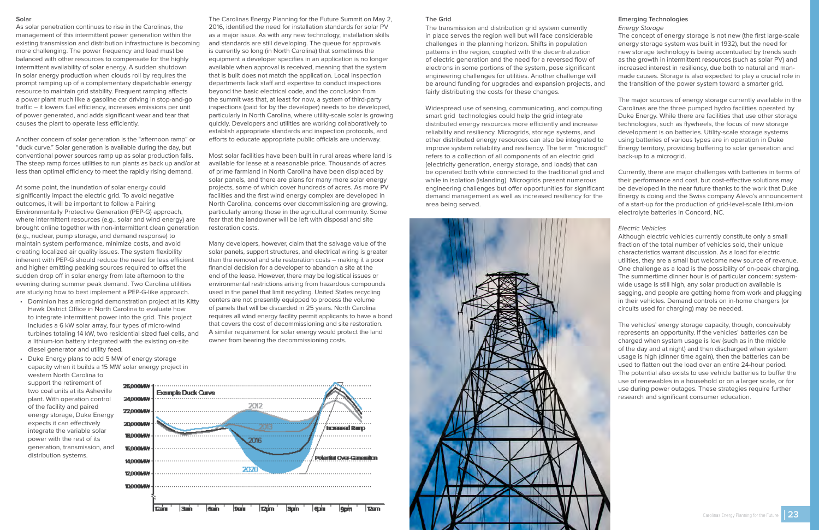#### <span id="page-11-0"></span>**Solar**

As solar penetration continues to rise in the Carolinas, the management of this intermittent power generation within the existing transmission and distribution infrastructure is becoming more challenging. The power frequency and load must be balanced with other resources to compensate for the highly intermittent availability of solar energy. A sudden shutdown in solar energy production when clouds roll by requires the prompt ramping up of a complementary dispatchable energy resource to maintain grid stability. Frequent ramping affects a power plant much like a gasoline car driving in stop-and-go traffic – it lowers fuel efficiency, increases emissions per unit of power generated, and adds significant wear and tear that causes the plant to operate less efficiently.

Another concern of solar generation is the "afternoon ramp" or "duck curve." Solar generation is available during the day, but conventional power sources ramp up as solar production falls. The steep ramp forces utilities to run plants as back up and/or at less than optimal efficiency to meet the rapidly rising demand.

capacity when it builds a 15 MW solar energy project in 26.000MW

At some point, the inundation of solar energy could significantly impact the electric grid. To avoid negative outcomes, it will be important to follow a Pairing Environmentally Protective Generation (PEP-G) approach, where intermittent resources (e.g., solar and wind energy) are brought online together with non-intermittent clean generation (e.g., nuclear, pump storage, and demand response) to maintain system performance, minimize costs, and avoid creating localized air quality issues. The system flexibility inherent with PEP-G should reduce the need for less efficient and higher emitting peaking sources required to offset the sudden drop off in solar energy from late afternoon to the evening during summer peak demand. Two Carolina utilities are studying how to best implement a PEP-G-like approach.

- Dominion has a microgrid demonstration project at its Kitty Hawk District Office in North Carolina to evaluate how to integrate intermittent power into the grid. This project includes a 6 kW solar array, four types of micro-wind turbines totaling 14 kW, two residential sized fuel cells, and a lithium-ion battery integrated with the existing on-site diesel generator and utility feed.
- Duke Energy plans to add 5 MW of energy storage western North Carolina to support the retirement of two coal units at its Asheville plant. With operation control 24,000MW of the facility and paired energy storage, Duke Energy expects it can effectively integrate the variable solar power with the rest of its

generation, transmission, and

distribution systems.

The Carolinas Energy Planning for the Future Summit on May 2, 2016, identified the need for installation standards for solar PV as a major issue. As with any new technology, installation skills and standards are still developing. The queue for approvals is currently so long (in North Carolina) that sometimes the equipment a developer specifies in an application is no longer available when approval is received, meaning that the system that is built does not match the application. Local inspection departments lack staff and expertise to conduct inspections beyond the basic electrical code, and the conclusion from the summit was that, at least for now, a system of third-party inspections (paid for by the developer) needs to be developed, particularly in North Carolina, where utility-scale solar is growing quickly. Developers and utilities are working collaboratively to establish appropriate standards and inspection protocols, and efforts to educate appropriate public officials are underway.

Most solar facilities have been built in rural areas where land is available for lease at a reasonable price. Thousands of acres of prime farmland in North Carolina have been displaced by solar panels, and there are plans for many more solar energy projects, some of which cover hundreds of acres. As more PV facilities and the first wind energy complex are developed in North Carolina, concerns over decommissioning are growing, particularly among those in the agricultural community. Some fear that the landowner will be left with disposal and site restoration costs.

Many developers, however, claim that the salvage value of the solar panels, support structures, and electrical wiring is greater than the removal and site restoration costs – making it a poor financial decision for a developer to abandon a site at the end of the lease. However, there may be logistical issues or environmental restrictions arising from hazardous compounds used in the panel that limit recycling. United States recycling centers are not presently equipped to process the volume of panels that will be discarded in 25 years. North Carolina requires all wind energy facility permit applicants to have a bond that covers the cost of decommissioning and site restoration. A similar requirement for solar energy would protect the land owner from bearing the decommissioning costs.



#### **The Grid**

The transmission and distribution grid system currently in place serves the region well but will face considerable challenges in the planning horizon. Shifts in population patterns in the region, coupled with the decentralization of electric generation and the need for a reversed flow of electrons in some portions of the system, pose significant engineering challenges for utilities. Another challenge will be around funding for upgrades and expansion projects, and fairly distributing the costs for these changes.

#### **Emerging Technologies**

#### Energy Storage

Widespread use of sensing, communicating, and computing smart grid technologies could help the grid integrate distributed energy resources more efficiently and increase reliability and resiliency. Microgrids, storage systems, and other distributed energy resources can also be integrated to improve system reliability and resiliency. The term "microgrid" refers to a collection of all components of an electric grid (electricity generation, energy storage, and loads) that can be operated both while connected to the traditional grid and while in isolation (islanding). Microgrids present numerous engineering challenges but offer opportunities for significant demand management as well as increased resiliency for the area being served. The major sources of energy storage currently available in the Carolinas are the three pumped hydro facilities operated by Duke Energy. While there are facilities that use other storage technologies, such as flywheels, the focus of new storage development is on batteries. Utility-scale storage systems using batteries of various types are in operation in Duke Energy territory, providing buffering to solar generation and back-up to a microgrid. Currently, there are major challenges with batteries in terms of their performance and cost, but cost-effective solutions may be developed in the near future thanks to the work that Duke of a start-up for the production of grid-level-scale lithium-ion



The concept of energy storage is not new (the first large-scale energy storage system was built in 1932), but the need for new storage technology is being accentuated by trends such as the growth in intermittent resources (such as solar PV) and increased interest in resiliency, due both to natural and manmade causes. Storage is also expected to play a crucial role in the transition of the power system toward a smarter grid.

- 
- Energy is doing and the Swiss company Alevo's announcement electrolyte batteries in Concord, NC.

#### Electric Vehicles

Although electric vehicles currently constitute only a small fraction of the total number of vehicles sold, their unique characteristics warrant discussion. As a load for electric utilities, they are a small but welcome new source of revenue. One challenge as a load is the possibility of on-peak charging. The summertime dinner hour is of particular concern: systemwide usage is still high, any solar production available is sagging, and people are getting home from work and plugging in their vehicles. Demand controls on in-home chargers (or circuits used for charging) may be needed.

The vehicles' energy storage capacity, though, conceivably represents an opportunity. If the vehicles' batteries can be charged when system usage is low (such as in the middle of the day and at night) and then discharged when system usage is high (dinner time again), then the batteries can be used to flatten out the load over an entire 24-hour period. The potential also exists to use vehicle batteries to buffer the use of renewables in a household or on a larger scale, or for use during power outages. These strategies require further research and significant consumer education.

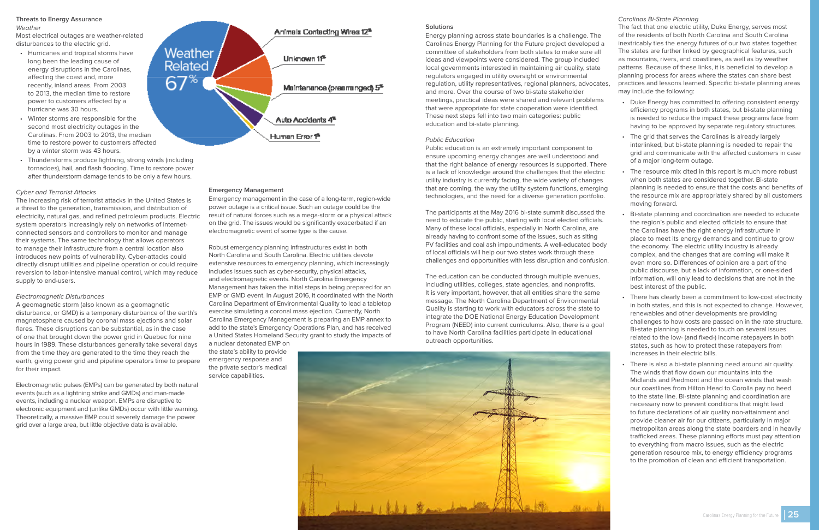#### <span id="page-12-0"></span>**Threats to Energy Assurance**

Weather

Most electrical outages are weather-related disturbances to the electric grid.

- Hurricanes and tropical storms have long been the leading cause of energy disruptions in the Carolinas, affecting the coast and, more recently, inland areas. From 2003 to 2013, the median time to restore power to customers affected by a hurricane was 30 hours.
- Winter storms are responsible for the second most electricity outages in the Carolinas. From 2003 to 2013, the median time to restore power to customers affected by a winter storm was 43 hours.
- Thunderstorms produce lightning, strong winds (including tornadoes), hail, and flash flooding. Time to restore power after thunderstorm damage tends to be only a few hours.

#### Cyber and Terrorist Attacks

The increasing risk of terrorist attacks in the United States is a threat to the generation, transmission, and distribution of electricity, natural gas, and refined petroleum products. Electric system operators increasingly rely on networks of internetconnected sensors and controllers to monitor and manage their systems. The same technology that allows operators to manage their infrastructure from a central location also introduces new points of vulnerability. Cyber-attacks could directly disrupt utilities and pipeline operation or could require reversion to labor-intensive manual control, which may reduce supply to end-users.

#### Electromagnetic Disturbances

A geomagnetic storm (also known as a geomagnetic disturbance, or GMD) is a temporary disturbance of the earth's magnetosphere caused by coronal mass ejections and solar flares. These disruptions can be substantial, as in the case of one that brought down the power grid in Quebec for nine hours in 1989. These disturbances generally take several days from the time they are generated to the time they reach the earth, giving power grid and pipeline operators time to prepare for their impact.

Electromagnetic pulses (EMPs) can be generated by both natural events (such as a lightning strike and GMDs) and man-made events, including a nuclear weapon. EMPs are disruptive to electronic equipment and (unlike GMDs) occur with little warning. Theoretically, a massive EMP could severely damage the power grid over a large area, but little objective data is available.



#### **Emergency Management**

Emergency management in the case of a long-term, region-wide power outage is a critical issue. Such an outage could be the result of natural forces such as a mega-storm or a physical attack on the grid. The issues would be significantly exacerbated if an electromagnetic event of some type is the cause.

Robust emergency planning infrastructures exist in both North Carolina and South Carolina. Electric utilities devote extensive resources to emergency planning, which increasingly includes issues such as cyber-security, physical attacks, and electromagnetic events. North Carolina Emergency Management has taken the initial steps in being prepared for an EMP or GMD event. In August 2016, it coordinated with the North Carolina Department of Environmental Quality to lead a tabletop exercise simulating a coronal mass ejection. Currently, North Carolina Emergency Management is preparing an EMP annex to add to the state's Emergency Operations Plan, and has received a United States Homeland Security grant to study the impacts of

a nuclear detonated EMP on the state's ability to provide emergency response and the private sector's medical service capabilities.

#### **Solutions**

#### Public Education

Public education is an extremely important component to ensure upcoming energy changes are well understood and that the right balance of energy resources is supported. There is a lack of knowledge around the challenges that the electric utility industry is currently facing, the wide variety of changes that are coming, the way the utility system functions, emerging technologies, and the need for a diverse generation portfolio.

The participants at the May 2016 bi-state summit discussed the need to educate the public, starting with local elected officials. Many of these local officials, especially in North Carolina, are already having to confront some of the issues, such as siting PV facilities and coal ash impoundments. A well-educated body of local officials will help our two states work through these challenges and opportunities with less disruption and confusion.

Energy planning across state boundaries is a challenge. The Carolinas Energy Planning for the Future project developed a committee of stakeholders from both states to make sure all ideas and viewpoints were considered. The group included local governments interested in maintaining air quality, state regulators engaged in utility oversight or environmental regulation, utility representatives, regional planners, advocates, and more. Over the course of two bi-state stakeholder meetings, practical ideas were shared and relevant problems that were appropriate for state cooperation were identified. These next steps fell into two main categories: public education and bi-state planning. The fact that one electric utility, Duke Energy, serves most of the residents of both North Carolina and South Carolina inextricably ties the energy futures of our two states together. The states are further linked by geographical features, such as mountains, rivers, and coastlines, as well as by weather patterns. Because of these links, it is beneficial to develop a planning process for areas where the states can share best practices and lessons learned. Specific bi-state planning areas may include the following: • Duke Energy has committed to offering consistent energy efficiency programs in both states, but bi-state planning is needed to reduce the impact these programs face from

The education can be conducted through multiple avenues, including utilities, colleges, state agencies, and nonprofits. It is very important, however, that all entities share the same message. The North Carolina Department of Environmental Quality is starting to work with educators across the state to integrate the DOE National Energy Education Development Program (NEED) into current curriculums. Also, there is a goal to have North Carolina facilities participate in educational outreach opportunities.



#### Carolinas Bi-State Planning

- having to be approved by separate regulatory structures.
- The grid that serves the Carolinas is already largely interlinked, but bi-state planning is needed to repair the grid and communicate with the affected customers in case of a major long-term outage.
- The resource mix cited in this report is much more robust when both states are considered together. Bi-state planning is needed to ensure that the costs and benefits of the resource mix are appropriately shared by all customers moving forward.
- Bi-state planning and coordination are needed to educate the region's public and elected officials to ensure that the Carolinas have the right energy infrastructure in place to meet its energy demands and continue to grow the economy. The electric utility industry is already complex, and the changes that are coming will make it even more so. Differences of opinion are a part of the public discourse, but a lack of information, or one-sided information, will only lead to decisions that are not in the best interest of the public.
	- There has clearly been a commitment to low-cost electricity in both states, and this is not expected to change. However, renewables and other developments are providing challenges to how costs are passed on in the rate structure. Bi-state planning is needed to touch on several issues related to the low- (and fixed-) income ratepayers in both states, such as how to protect these ratepayers from increases in their electric bills.
	- There is also a bi-state planning need around air quality. The winds that flow down our mountains into the Midlands and Piedmont and the ocean winds that wash our coastlines from Hilton Head to Corolla pay no heed to the state line. Bi-state planning and coordination are necessary now to prevent conditions that might lead to future declarations of air quality non-attainment and provide cleaner air for our citizens, particularly in major metropolitan areas along the state boarders and in heavily trafficked areas. These planning efforts must pay attention to everything from macro issues, such as the electric generation resource mix, to energy efficiency programs to the promotion of clean and efficient transportation.

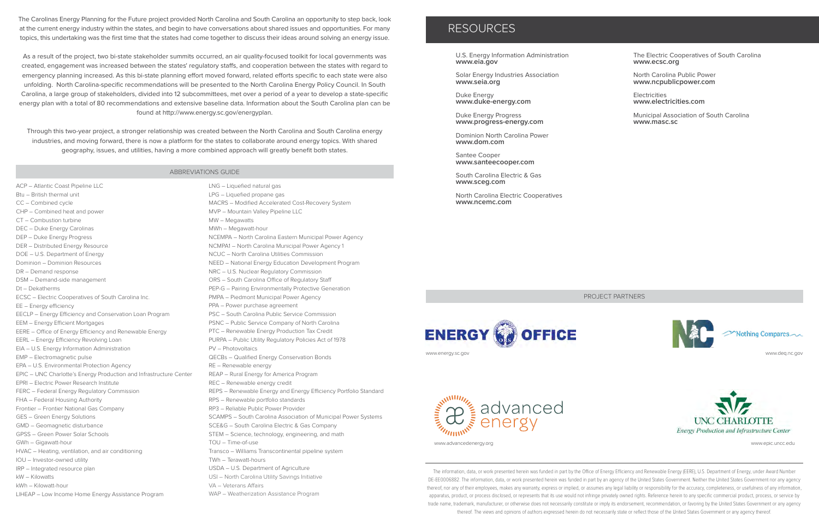The Carolinas Energy Planning for the Future project provided North Carolina and South Carolina an opportunity to step back, look at the current energy industry within the states, and begin to have conversations about shared issues and opportunities. For many topics, this undertaking was the first time that the states had come together to discuss their ideas around solving an energy issue.

As a result of the project, two bi-state stakeholder summits occurred, an air quality-focused toolkit for local governments was created, engagement was increased between the states' regulatory staffs, and cooperation between the states with regard to emergency planning increased. As this bi-state planning effort moved forward, related efforts specific to each state were also unfolding. North Carolina-specific recommendations will be presented to the North Carolina Energy Policy Council. In South Carolina, a large group of stakeholders, divided into 12 subcommittees, met over a period of a year to develop a state-specific energy plan with a total of 80 recommendations and extensive baseline data. Information about the South Carolina plan can be found at http://www.energy.sc.gov/energyplan.

Through this two-year project, a stronger relationship was created between the North Carolina and South Carolina energy industries, and moving forward, there is now a platform for the states to collaborate around energy topics. With shared geography, issues, and utilities, having a more combined approach will greatly benefit both states.

> The information, data, or work presented herein was funded in part by the Office of Energy Efficiency and Renewable Energy (EERE), U.S. Department of Energy, under Award Number DE-EE0006882. The information, data, or work presented herein was funded in part by an agency of the United States Government. Neither the United States Government nor any agency thereof, nor any of their employees, makes any warranty, express or implied, or assumes any legal liability or responsibility for the accuracy, completeness, or usefulness of any information, apparatus, product, or process disclosed, or represents that its use would not infringe privately owned rights. Reference herein to any specific commercial product, process, or service by trade name, trademark, manufacturer, or otherwise does not necessarily constitute or imply its endorsement, recommendation, or favoring by the United States Government or any agency thereof. The views and opinions of authors expressed herein do not necessarily state or reflect those of the United States Government or any agency thereof.



advanced

www.advancedenergy.org www.epic.uncc.edu

www.deq.nc.gov



**Electricities www.electricities.com**

ACP – Atlantic Coast Pipeline LLC Btu – British thermal unit CC – Combined cycle CHP – Combined heat and power CT – Combustion turbine DEC – Duke Energy Carolinas DEP – Duke Energy Progress DER – Distributed Energy Resource DOE – U.S. Department of Energy Dominion – Dominion Resources DR – Demand response DSM – Demand-side management Dt – Dekatherms ECSC – Electric Cooperatives of South Carolina Inc. EE – Energy efficiency EECLP – Energy Efficiency and Conservation Loan Program EEM – Energy Efficient Mortgages EERE – Office of Energy Efficiency and Renewable Energy EERL – Energy Efficiency Revolving Loan EIA – U.S. Energy Information Administration EMP – Electromagnetic pulse EPA – U.S. Environmental Protection Agency EPIC – UNC Charlotte's Energy Production and Infrastructure Center EPRI – Electric Power Research Institute FERC – Federal Energy Regulatory Commission FHA – Federal Housing Authority Frontier – Frontier National Gas Company GES – Green Energy Solutions GMD – Geomagnetic disturbance GPSS – Green Power Solar Schools GWh – Gigawatt-hour HVAC – Heating, ventilation, and air conditioning IOU – Investor-owned utility IRP – Integrated resource plan kW – Kilowatts kWh – Kilowatt-hour LIHEAP – Low Income Home Energy Assistance Program

LNG – Liquefied natural gas LPG – Liquefied propane gas MACRS – Modified Accelerated Cost-Recovery System MVP – Mountain Valley Pipeline LLC MW – Megawatts MWh – Megawatt-hour NCEMPA – North Carolina Eastern Municipal Power Agency NCMPA1 – North Carolina Municipal Power Agency 1 NCUC – North Carolina Utilities Commission NEED – National Energy Education Development Program NRC – U.S. Nuclear Regulatory Commission ORS – South Carolina Office of Regulatory Staff PEP-G – Pairing Environmentally Protective Generation PMPA – Piedmont Municipal Power Agency PPA – Power purchase agreement PSC – South Carolina Public Service Commission PSNC – Public Service Company of North Carolina PTC – Renewable Energy Production Tax Credit PURPA – Public Utility Regulatory Policies Act of 1978 PV – Photovoltaics QECBs – Qualified Energy Conservation Bonds RE – Renewable energy REAP – Rural Energy for America Program REC – Renewable energy credit REPS – Renewable Energy and Energy Efficiency Portfolio Standard RPS – Renewable portfolio standards RP3 – Reliable Public Power Provider SCAMPS – South Carolina Association of Municipal Power Systems SCE&G – South Carolina Electric & Gas Company STEM – Science, technology, engineering, and math TOU – Time-of-use Transco – Williams Transcontinental pipeline system TWh – Terawatt-hours USDA – U.S. Department of Agriculture USI – North Carolina Utility Savings Initiative VA – Veterans Affairs WAP – Weatherization Assistance Program

U.S. Energy Information Administration **www.eia.gov**

Solar Energy Industries Association **www.seia.org**

Duke Energy **www.duke-energy.com**

Duke Energy Progress **www.progress-energy.com**

Dominion North Carolina Power **www.dom.com**

Santee Cooper **www.santeecooper.com**

South Carolina Electric & Gas **www.sceg.com**

North Carolina Electric Cooperatives **www.ncemc.com**

The Electric Cooperatives of South Carolina **www.ecsc.org**

North Carolina Public Power **www.ncpublicpower.com**

Municipal Association of South Carolina **www.masc.sc**

### RESOURCES

#### ABBREVIATIONS GUIDE

PROJECT PARTNERS